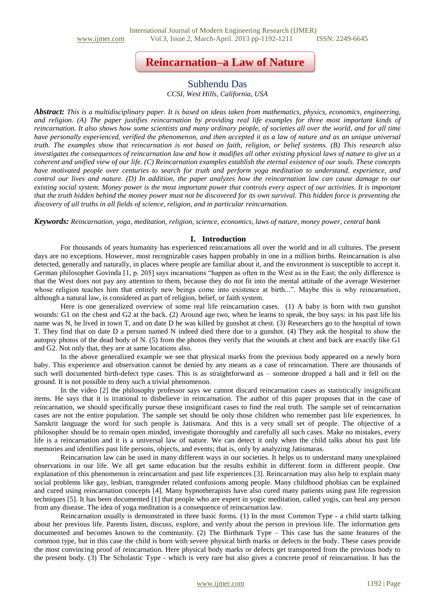# **Reincarnation–a Law of Nature**

# Subhendu Das

*CCSI, West Hills, California, USA*

*Abstract: This is a multidisciplinary paper. It is based on ideas taken from mathematics, physics, economics, engineering, and religion. (A) The paper justifies reincarnation by providing real life examples for three most important kinds of reincarnation. It also shows how some scientists and many ordinary people, of societies all over the world, and for all time have personally experienced, verified the phenomenon, and then accepted it as a law of nature and as an unique universal truth. The examples show that reincarnation is not based on faith, religion, or belief systems. (B) This research also investigates the consequences of reincarnation law and how it modifies all other existing physical laws of nature to give us a coherent and unified view of our life. (C) Reincarnation examples establish the eternal existence of our souls. These concepts have motivated people over centuries to search for truth and perform yoga meditation to understand, experience, and control our lives and nature. (D) In addition, the paper analyzes how the reincarnation law can cause damage to our existing social system. Money power is the most important power that controls every aspect of our activities. It is important that the truth hidden behind the money power must not be discovered for its own survival. This hidden force is preventing the discovery of all truths in all fields of science, religion, and in particular reincarnation.*

*Keywords: Reincarnation, yoga, meditation, religion, science, economics, laws of nature, money power, central bank*

# **I. Introduction**

For thousands of years humanity has experienced reincarnations all over the world and in all cultures. The present days are no exceptions. However, most recognizable cases happen probably in one in a million births. Reincarnation is also detected, generally and naturally, in places where people are familiar about it, and the environment is susceptible to accept it. German philosopher Govinda [1, p. 205] says incarnations "happen as often in the West as in the East; the only difference is that the West does not pay any attention to them, because they do not fit into the mental attitude of the average Westerner whose religion teaches him that entirely new beings come into existence at birth...". Maybe this is why reincarnation, although a natural law, is considered as part of religion, belief, or faith system.

Here is one generalized overview of some real life reincarnation cases. (1) A baby is born with two gunshot wounds: G1 on the chest and G2 at the back. (2) Around age two, when he learns to speak, the boy says: in his past life his name was N, he lived in town T, and on date D he was killed by gunshot at chest. (3) Researchers go to the hospital of town T. They find that on date D a person named N indeed died there due to a gunshot. (4) They ask the hospital to show the autopsy photos of the dead body of N. (5) from the photos they verify that the wounds at chest and back are exactly like G1 and G2. Not only that, they are at same locations also.

In the above generalized example we see that physical marks from the previous body appeared on a newly born baby. This experience and observation cannot be denied by any means as a case of reincarnation. There are thousands of such well documented birth-defect type cases. This is as straightforward as – someone dropped a ball and it fell on the ground. It is not possible to deny such a trivial phenomenon.

In the video [2] the philosophy professor says we cannot discard reincarnation cases as statistically insignificant items. He says that it is irrational to disbelieve in reincarnation. The author of this paper proposes that in the case of reincarnation, we should specifically pursue these insignificant cases to find the real truth. The sample set of reincarnation cases are not the entire population. The sample set should be only those children who remember past life experiences. In Sanskrit language the word for such people is Jatismara. And this is a very small set of people. The objective of a philosopher should be to remain open minded, investigate thoroughly and carefully all such cases. Make no mistakes, every life is a reincarnation and it is a universal law of nature. We can detect it only when the child talks about his past life memories and identifies past life persons, objects, and events; that is, only by analyzing Jatismaras.

Reincarnation law can be used in many different ways in our societies. It helps us to understand many unexplained observations in our life. We all get same education but the results exhibit in different form in different people. One explanation of this phenomenon is reincarnation and past life experiences [3]. Reincarnation may also help to explain many social problems like gay, lesbian, transgender related confusions among people. Many childhood phobias can be explained and cured using reincarnation concepts [4]. Many hypnotherapists have also cured many patients using past life regression techniques [5]. It has been documented [1] that people who are expert in yogic meditation, called yogis, can heal any person from any disease. The idea of yoga meditation is a consequence of reincarnation law.

Reincarnation usually is demonstrated in three basic forms. (1) In the most Common Type *-* a child starts talking about her previous life. Parents listen, discuss, explore, and verify about the person in previous life. The information gets documented and becomes known to the community. (2) The Birthmark Type – This case has the same features of the common type, but in this case the child is born with severe physical birth marks or defects in the body. These cases provide the most convincing proof of reincarnation. Here physical body marks or defects get transported from the previous body to the present body. (3) The Scholastic Type *-* which is very rare but also gives a concrete proof of reincarnation. It has the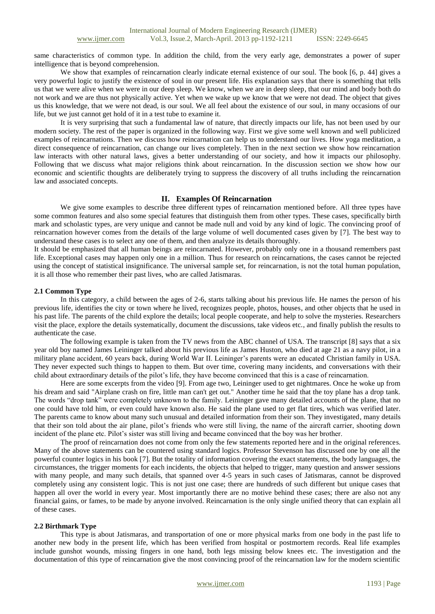same characteristics of common type. In addition the child, from the very early age, demonstrates a power of super intelligence that is beyond comprehension.

We show that examples of reincarnation clearly indicate eternal existence of our soul. The book [6, p. 44] gives a very powerful logic to justify the existence of soul in our present life. His explanation says that there is something that tells us that we were alive when we were in our deep sleep. We know, when we are in deep sleep, that our mind and body both do not work and we are thus not physically active. Yet when we wake up we know that we were not dead. The object that gives us this knowledge, that we were not dead, is our soul. We all feel about the existence of our soul, in many occasions of our life, but we just cannot get hold of it in a test tube to examine it.

It is very surprising that such a fundamental law of nature, that directly impacts our life, has not been used by our modern society. The rest of the paper is organized in the following way. First we give some well known and well publicized examples of reincarnations. Then we discuss how reincarnation can help us to understand our lives. How yoga meditation, a direct consequence of reincarnation, can change our lives completely. Then in the next section we show how reincarnation law interacts with other natural laws, gives a better understanding of our society, and how it impacts our philosophy. Following that we discuss what major religions think about reincarnation. In the discussion section we show how our economic and scientific thoughts are deliberately trying to suppress the discovery of all truths including the reincarnation law and associated concepts.

## **II. Examples Of Reincarnation**

We give some examples to describe three different types of reincarnation mentioned before. All three types have some common features and also some special features that distinguish them from other types. These cases, specifically birth mark and scholastic types, are very unique and cannot be made null and void by any kind of logic. The convincing proof of reincarnation however comes from the details of the large volume of well documented cases given by [7]. The best way to understand these cases is to select any one of them, and then analyze its details thoroughly.

It should be emphasized that all human beings are reincarnated. However, probably only one in a thousand remembers past life. Exceptional cases may happen only one in a million. Thus for research on reincarnations, the cases cannot be rejected using the concept of statistical insignificance. The universal sample set, for reincarnation, is not the total human population, it is all those who remember their past lives, who are called Jatismaras.

#### **2.1 Common Type**

In this category, a child between the ages of 2-6, starts talking about his previous life. He names the person of his previous life, identifies the city or town where he lived, recognizes people, photos, houses, and other objects that he used in his past life. The parents of the child explore the details; local people cooperate, and help to solve the mysteries. Researchers visit the place, explore the details systematically, document the discussions, take videos etc., and finally publish the results to authenticate the case.

The following example is taken from the TV news from the ABC channel of USA. The transcript [8] says that a six year old boy named James Leininger talked about his previous life as James Huston, who died at age 21 as a navy pilot, in a military plane accident, 60 years back, during World War II. Leininger"s parents were an educated Christian family in USA. They never expected such things to happen to them. But over time, covering many incidents, and conversations with their child about extraordinary details of the pilot"s life, they have become convinced that this is a case of reincarnation.

Here are some excerpts from the video [9]. From age two, Leininger used to get nightmares. Once he woke up from his dream and said "Airplane crash on fire, little man can't get out." Another time he said that the toy plane has a drop tank. The words "drop tank" were completely unknown to the family. Leininger gave many detailed accounts of the plane, that no one could have told him, or even could have known also. He said the plane used to get flat tires, which was verified later. The parents came to know about many such unusual and detailed information from their son. They investigated, many details that their son told about the air plane, pilot"s friends who were still living, the name of the aircraft carrier, shooting down incident of the plane etc. Pilot"s sister was still living and became convinced that the boy was her brother.

The proof of reincarnation does not come from only the few statements reported here and in the original references. Many of the above statements can be countered using standard logics. Professor Stevenson has discussed one by one all the powerful counter logics in his book [7]. But the totality of information covering the exact statements, the body languages, the circumstances, the trigger moments for each incidents, the objects that helped to trigger, many question and answer sessions with many people, and many such details, that spanned over 4-5 years in such cases of Jatismaras, cannot be disproved completely using any consistent logic. This is not just one case; there are hundreds of such different but unique cases that happen all over the world in every year. Most importantly there are no motive behind these cases; there are also not any financial gains, or fames, to be made by anyone involved. Reincarnation is the only single unified theory that can explain all of these cases.

#### **2.2 Birthmark Type**

This type is about Jatismaras, and transportation of one or more physical marks from one body in the past life to another new body in the present life, which has been verified from hospital or postmortem records. Real life examples include gunshot wounds, missing fingers in one hand, both legs missing below knees etc. The investigation and the documentation of this type of reincarnation give the most convincing proof of the reincarnation law for the modern scientific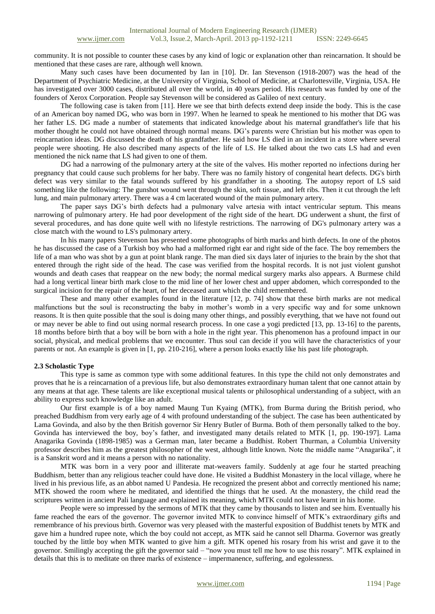community. It is not possible to counter these cases by any kind of logic or explanation other than reincarnation. It should be mentioned that these cases are rare, although well known.

Many such cases have been documented by Ian in [10]. Dr. Ian Stevenson (1918-2007) was the head of the Department of Psychiatric Medicine, at the University of Virginia, School of Medicine, at Charlottesville, Virginia, USA. He has investigated over 3000 cases, distributed all over the world, in 40 years period. His research was funded by one of the founders of Xerox Corporation. People say Stevenson will be considered as Galileo of next century.

The following case is taken from [11]. Here we see that birth defects extend deep inside the body. This is the case of an American boy named DG, who was born in 1997. When he learned to speak he mentioned to his mother that DG was her father LS. DG made a number of statements that indicated knowledge about his maternal grandfather's life that his mother thought he could not have obtained through normal means. DG"s parents were Christian but his mother was open to reincarnation ideas. DG discussed the death of his grandfather. He said how LS died in an incident in a store where several people were shooting. He also described many aspects of the life of LS. He talked about the two cats LS had and even mentioned the nick name that LS had given to one of them.

DG had a narrowing of the pulmonary artery at the site of the valves. His mother reported no infections during her pregnancy that could cause such problems for her baby. There was no family history of congenital heart defects. DG's birth defect was very similar to the fatal wounds suffered by his grandfather in a shooting. The autopsy report of LS said something like the following: The gunshot wound went through the skin, soft tissue, and left ribs. Then it cut through the left lung, and main pulmonary artery. There was a 4 cm lacerated wound of the main pulmonary artery.

The paper says DG"s birth defects had a pulmonary valve artesia with intact ventricular septum. This means narrowing of pulmonary artery. He had poor development of the right side of the heart. DG underwent a shunt, the first of several procedures, and has done quite well with no lifestyle restrictions. The narrowing of DG's pulmonary artery was a close match with the wound to LS's pulmonary artery.

In his many papers Stevenson has presented some photographs of birth marks and birth defects. In one of the photos he has discussed the case of a Turkish boy who had a malformed right ear and right side of the face. The boy remembers the life of a man who was shot by a gun at point blank range. The man died six days later of injuries to the brain by the shot that entered through the right side of the head. The case was verified from the hospital records. It is not just violent gunshot wounds and death cases that reappear on the new body; the normal medical surgery marks also appears. A Burmese child had a long vertical linear birth mark close to the mid line of her lower chest and upper abdomen, which corresponded to the surgical incision for the repair of the heart, of her deceased aunt which the child remembered.

These and many other examples found in the literature [12, p. 74] show that these birth marks are not medical malfunctions but the soul is reconstructing the baby in mother"s womb in a very specific way and for some unknown reasons. It is then quite possible that the soul is doing many other things, and possibly everything, that we have not found out or may never be able to find out using normal research process. In one case a yogi predicted [13, pp. 13-16] to the parents, 18 months before birth that a boy will be born with a hole in the right year. This phenomenon has a profound impact in our social, physical, and medical problems that we encounter. Thus soul can decide if you will have the characteristics of your parents or not. An example is given in [1, pp. 210-216], where a person looks exactly like his past life photograph.

## **2.3 Scholastic Type**

This type is same as common type with some additional features. In this type the child not only demonstrates and proves that he is a reincarnation of a previous life, but also demonstrates extraordinary human talent that one cannot attain by any means at that age. These talents are like exceptional musical talents or philosophical understanding of a subject, with an ability to express such knowledge like an adult.

Our first example is of a boy named Maung Tun Kyaing (MTK), from Burma during the British period, who preached Buddhism from very early age of 4 with profound understanding of the subject. The case has been authenticated by Lama Govinda, and also by the then British governor Sir Henry Butler of Burma. Both of them personally talked to the boy. Govinda has interviewed the boy, boy's father, and investigated many details related to MTK [1, pp. 190-197]. Lama Anagarika Govinda (1898-1985) was a German man, later became a Buddhist. Robert Thurman, a Columbia University professor describes him as the greatest philosopher of the west, although little known. Note the middle name "Anagarika", it is a Sanskrit word and it means a person with no nationality.

MTK was born in a very poor and illiterate mat-weavers family. Suddenly at age four he started preaching Buddhism, better than any religious teacher could have done. He visited a Buddhist Monastery in the local village, where he lived in his previous life, as an abbot named U Pandesia. He recognized the present abbot and correctly mentioned his name; MTK showed the room where he meditated, and identified the things that he used. At the monastery, the child read the scriptures written in ancient Pali language and explained its meaning, which MTK could not have learnt in his home.

People were so impressed by the sermons of MTK that they came by thousands to listen and see him. Eventually his fame reached the ears of the governor. The governor invited MTK to convince himself of MTK"s extraordinary gifts and remembrance of his previous birth. Governor was very pleased with the masterful exposition of Buddhist tenets by MTK and gave him a hundred rupee note, which the boy could not accept, as MTK said he cannot sell Dharma. Governor was greatly touched by the little boy when MTK wanted to give him a gift. MTK opened his rosary from his wrist and gave it to the governor. Smilingly accepting the gift the governor said – "now you must tell me how to use this rosary". MTK explained in details that this is to meditate on three marks of existence – impermanence, suffering, and egolessness.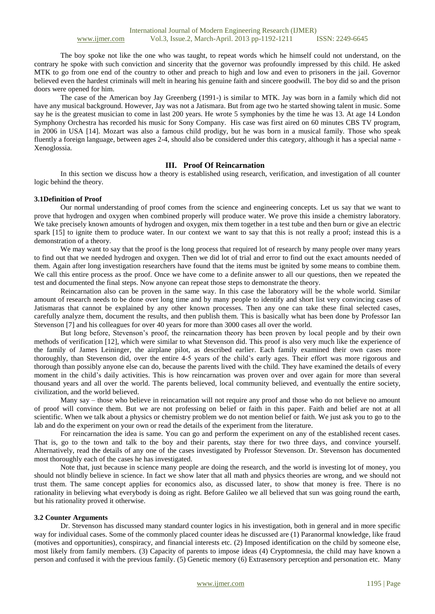The boy spoke not like the one who was taught, to repeat words which he himself could not understand, on the contrary he spoke with such conviction and sincerity that the governor was profoundly impressed by this child. He asked MTK to go from one end of the country to other and preach to high and low and even to prisoners in the jail. Governor believed even the hardest criminals will melt in hearing his genuine faith and sincere goodwill. The boy did so and the prison doors were opened for him.

The case of the American boy Jay Greenberg (1991-) is similar to MTK. Jay was born in a family which did not have any musical background. However, Jay was not a Jatismara. But from age two he started showing talent in music. Some say he is the greatest musician to come in last 200 years. He wrote 5 symphonies by the time he was 13. At age 14 London Symphony Orchestra has recorded his music for Sony Company. His case was first aired on 60 minutes CBS TV program, in 2006 in USA [14]. Mozart was also a famous child prodigy, but he was born in a musical family. Those who speak fluently a foreign language, between ages 2-4, should also be considered under this category, although it has a special name - Xenoglossia.

## **III. Proof Of Reincarnation**

In this section we discuss how a theory is established using research, verification, and investigation of all counter logic behind the theory.

#### **3.1Definition of Proof**

Our normal understanding of proof comes from the science and engineering concepts. Let us say that we want to prove that hydrogen and oxygen when combined properly will produce water. We prove this inside a chemistry laboratory. We take precisely known amounts of hydrogen and oxygen, mix them together in a test tube and then burn or give an electric spark [15] to ignite them to produce water. In our context we want to say that this is not really a proof; instead this is a demonstration of a theory.

We may want to say that the proof is the long process that required lot of research by many people over many years to find out that we needed hydrogen and oxygen. Then we did lot of trial and error to find out the exact amounts needed of them. Again after long investigation researchers have found that the items must be ignited by some means to combine them. We call this entire process as the proof. Once we have come to a definite answer to all our questions, then we repeated the test and documented the final steps. Now anyone can repeat those steps to demonstrate the theory.

Reincarnation also can be proven in the same way. In this case the laboratory will be the whole world. Similar amount of research needs to be done over long time and by many people to identify and short list very convincing cases of Jatismaras that cannot be explained by any other known processes. Then any one can take these final selected cases, carefully analyze them, document the results, and then publish them. This is basically what has been done by Professor Ian Stevenson [7] and his colleagues for over 40 years for more than 3000 cases all over the world.

But long before, Stevenson"s proof, the reincarnation theory has been proven by local people and by their own methods of verification [12], which were similar to what Stevenson did. This proof is also very much like the experience of the family of James Leininger, the airplane pilot, as described earlier. Each family examined their own cases more thoroughly, than Stevenson did, over the entire 4-5 years of the child"s early ages. Their effort was more rigorous and thorough than possibly anyone else can do, because the parents lived with the child. They have examined the details of every moment in the child"s daily activities. This is how reincarnation was proven over and over again for more than several thousand years and all over the world. The parents believed, local community believed, and eventually the entire society, civilization, and the world believed.

Many say – those who believe in reincarnation will not require any proof and those who do not believe no amount of proof will convince them. But we are not professing on belief or faith in this paper. Faith and belief are not at all scientific. When we talk about a physics or chemistry problem we do not mention belief or faith. We just ask you to go to the lab and do the experiment on your own or read the details of the experiment from the literature.

For reincarnation the idea is same. You can go and perform the experiment on any of the established recent cases. That is, go to the town and talk to the boy and their parents, stay there for two three days, and convince yourself. Alternatively, read the details of any one of the cases investigated by Professor Stevenson. Dr. Stevenson has documented most thoroughly each of the cases he has investigated.

Note that, just because in science many people are doing the research, and the world is investing lot of money, you should not blindly believe in science. In fact we show later that all math and physics theories are wrong, and we should not trust them. The same concept applies for economics also, as discussed later, to show that money is free. There is no rationality in believing what everybody is doing as right. Before Galileo we all believed that sun was going round the earth, but his rationality proved it otherwise.

#### **3.2 Counter Arguments**

Dr. Stevenson has discussed many standard counter logics in his investigation, both in general and in more specific way for individual cases. Some of the commonly placed counter ideas he discussed are (1) Paranormal knowledge, like fraud (motives and opportunities), conspiracy, and financial interests etc. (2) Imposed identification on the child by someone else, most likely from family members. (3) Capacity of parents to impose ideas (4) Cryptomnesia, the child may have known a person and confused it with the previous family. (5) Genetic memory (6) Extrasensory perception and personation etc. Many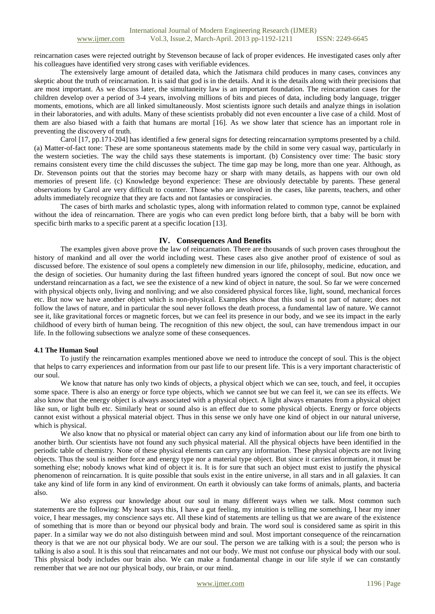reincarnation cases were rejected outright by Stevenson because of lack of proper evidences. He investigated cases only after his colleagues have identified very strong cases with verifiable evidences.

The extensively large amount of detailed data, which the Jatismara child produces in many cases, convinces any skeptic about the truth of reincarnation. It is said that god is in the details. And it is the details along with their precisions that are most important. As we discuss later, the simultaneity law is an important foundation. The reincarnation cases for the children develop over a period of 3-4 years, involving millions of bits and pieces of data, including body language, trigger moments, emotions, which are all linked simultaneously. Most scientists ignore such details and analyze things in isolation in their laboratories, and with adults. Many of these scientists probably did not even encounter a live case of a child. Most of them are also biased with a faith that humans are mortal [16]. As we show later that science has an important role in preventing the discovery of truth.

Carol [17, pp.171-204] has identified a few general signs for detecting reincarnation symptoms presented by a child. (a) Matter-of-fact tone: These are some spontaneous statements made by the child in some very casual way, particularly in the western societies. The way the child says these statements is important. (b) Consistency over time: The basic story remains consistent every time the child discusses the subject. The time gap may be long, more than one year. Although, as Dr. Stevenson points out that the stories may become hazy or sharp with many details, as happens with our own old memories of present life. (c) Knowledge beyond experience: These are obviously detectable by parents. These general observations by Carol are very difficult to counter. Those who are involved in the cases, like parents, teachers, and other adults immediately recognize that they are facts and not fantasies or conspiracies.

The cases of birth marks and scholastic types, along with information related to common type, cannot be explained without the idea of reincarnation. There are yogis who can even predict long before birth, that a baby will be born with specific birth marks to a specific parent at a specific location [13].

## **IV. Consequences And Benefits**

The examples given above prove the law of reincarnation. There are thousands of such proven cases throughout the history of mankind and all over the world including west. These cases also give another proof of existence of soul as discussed before. The existence of soul opens a completely new dimension in our life, philosophy, medicine, education, and the design of societies. Our humanity during the last fifteen hundred years ignored the concept of soul. But now once we understand reincarnation as a fact, we see the existence of a new kind of object in nature, the soul. So far we were concerned with physical objects only, living and nonliving; and we also considered physical forces like, light, sound, mechanical forces etc. But now we have another object which is non-physical. Examples show that this soul is not part of nature; does not follow the laws of nature, and in particular the soul never follows the death process, a fundamental law of nature. We cannot see it, like gravitational forces or magnetic forces, but we can feel its presence in our body, and we see its impact in the early childhood of every birth of human being. The recognition of this new object, the soul, can have tremendous impact in our life. In the following subsections we analyze some of these consequences.

#### **4.1 The Human Soul**

To justify the reincarnation examples mentioned above we need to introduce the concept of soul. This is the object that helps to carry experiences and information from our past life to our present life. This is a very important characteristic of our soul.

We know that nature has only two kinds of objects, a physical object which we can see, touch, and feel, it occupies some space. There is also an energy or force type objects, which we cannot see but we can feel it, we can see its effects. We also know that the energy object is always associated with a physical object. A light always emanates from a physical object like sun, or light bulb etc. Similarly heat or sound also is an effect due to some physical objects. Energy or force objects cannot exist without a physical material object. Thus in this sense we only have one kind of object in our natural universe, which is physical.

We also know that no physical or material object can carry any kind of information about our life from one birth to another birth. Our scientists have not found any such physical material. All the physical objects have been identified in the periodic table of chemistry. None of these physical elements can carry any information. These physical objects are not living objects. Thus the soul is neither force and energy type nor a material type object. But since it carries information, it must be something else; nobody knows what kind of object it is. It is for sure that such an object must exist to justify the physical phenomenon of reincarnation. It is quite possible that souls exist in the entire universe, in all stars and in all galaxies. It can take any kind of life form in any kind of environment. On earth it obviously can take forms of animals, plants, and bacteria also.

We also express our knowledge about our soul in many different ways when we talk. Most common such statements are the following: My heart says this, I have a gut feeling, my intuition is telling me something, I hear my inner voice, I hear messages, my conscience says etc. All these kind of statements are telling us that we are aware of the existence of something that is more than or beyond our physical body and brain. The word soul is considered same as spirit in this paper. In a similar way we do not also distinguish between mind and soul. Most important consequence of the reincarnation theory is that we are not our physical body. We are our soul. The person we are talking with is a soul; the person who is talking is also a soul. It is this soul that reincarnates and not our body. We must not confuse our physical body with our soul. This physical body includes our brain also. We can make a fundamental change in our life style if we can constantly remember that we are not our physical body, our brain, or our mind.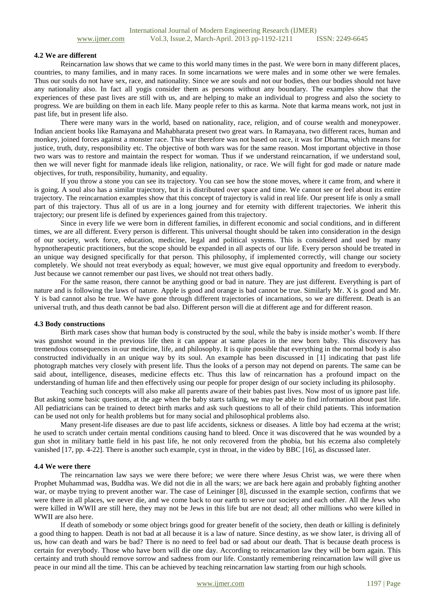#### **4.2 We are different**

Reincarnation law shows that we came to this world many times in the past. We were born in many different places, countries, to many families, and in many races. In some incarnations we were males and in some other we were females. Thus our souls do not have sex, race, and nationality. Since we are souls and not our bodies, then our bodies should not have any nationality also. In fact all yogis consider them as persons without any boundary. The examples show that the experiences of these past lives are still with us, and are helping to make an individual to progress and also the society to progress. We are building on them in each life. Many people refer to this as karma. Note that karma means work, not just in past life, but in present life also.

There were many wars in the world, based on nationality, race, religion, and of course wealth and moneypower. Indian ancient books like Ramayana and Mahabharata present two great wars. In Ramayana, two different races, human and monkey, joined forces against a monster race. This war therefore was not based on race, it was for Dharma, which means for justice, truth, duty, responsibility etc. The objective of both wars was for the same reason. Most important objective in those two wars was to restore and maintain the respect for woman. Thus if we understand reincarnation, if we understand soul, then we will never fight for manmade ideals like religion, nationality, or race. We will fight for god made or nature made objectives, for truth, responsibility, humanity, and equality.

If you throw a stone you can see its trajectory. You can see how the stone moves, where it came from, and where it is going. A soul also has a similar trajectory, but it is distributed over space and time. We cannot see or feel about its entire trajectory. The reincarnation examples show that this concept of trajectory is valid in real life. Our present life is only a small part of this trajectory. Thus all of us are in a long journey and for eternity with different trajectories. We inherit this trajectory; our present life is defined by experiences gained from this trajectory.

Since in every life we were born in different families, in different economic and social conditions, and in different times, we are all different. Every person is different. This universal thought should be taken into consideration in the design of our society, work force, education, medicine, legal and political systems. This is considered and used by many hypnotherapeutic practitioners, but the scope should be expanded in all aspects of our life. Every person should be treated in an unique way designed specifically for that person. This philosophy, if implemented correctly, will change our society completely. We should not treat everybody as equal; however, we must give equal opportunity and freedom to everybody. Just because we cannot remember our past lives, we should not treat others badly.

For the same reason, there cannot be anything good or bad in nature. They are just different. Everything is part of nature and is following the laws of nature. Apple is good and orange is bad cannot be true. Similarly Mr. X is good and Mr. Y is bad cannot also be true. We have gone through different trajectories of incarnations, so we are different. Death is an universal truth, and thus death cannot be bad also. Different person will die at different age and for different reason.

#### **4.3 Body constructions**

Birth mark cases show that human body is constructed by the soul, while the baby is inside mother"s womb. If there was gunshot wound in the previous life then it can appear at same places in the new born baby. This discovery has tremendous consequences in our medicine, life, and philosophy. It is quite possible that everything in the normal body is also constructed individually in an unique way by its soul. An example has been discussed in [1] indicating that past life photograph matches very closely with present life. Thus the looks of a person may not depend on parents. The same can be said about, intelligence, diseases, medicine effects etc. Thus this law of reincarnation has a profound impact on the understanding of human life and then effectively using our people for proper design of our society including its philosophy.

Teaching such concepts will also make all parents aware of their babies past lives. Now most of us ignore past life. But asking some basic questions, at the age when the baby starts talking, we may be able to find information about past life. All pediatricians can be trained to detect birth marks and ask such questions to all of their child patients. This information can be used not only for health problems but for many social and philosophical problems also.

Many present-life diseases are due to past life accidents, sickness or diseases. A little boy had eczema at the wrist; he used to scratch under certain mental conditions causing hand to bleed. Once it was discovered that he was wounded by a gun shot in military battle field in his past life, he not only recovered from the phobia, but his eczema also completely vanished [17, pp. 4-22]. There is another such example, cyst in throat, in the video by BBC [16], as discussed later.

#### **4.4 We were there**

The reincarnation law says we were there before; we were there where Jesus Christ was, we were there when Prophet Muhammad was, Buddha was. We did not die in all the wars; we are back here again and probably fighting another war, or maybe trying to prevent another war. The case of Leininger [8], discussed in the example section, confirms that we were there in all places, we never die, and we come back to our earth to serve our society and each other. All the Jews who were killed in WWII are still here, they may not be Jews in this life but are not dead; all other millions who were killed in WWII are also here.

If death of somebody or some object brings good for greater benefit of the society, then death or killing is definitely a good thing to happen. Death is not bad at all because it is a law of nature. Since destiny, as we show later, is driving all of us, how can death and wars be bad? There is no need to feel bad or sad about our death. That is because death process is certain for everybody. Those who have born will die one day. According to reincarnation law they will be born again. This certainty and truth should remove sorrow and sadness from our life. Constantly remembering reincarnation law will give us peace in our mind all the time. This can be achieved by teaching reincarnation law starting from our high schools.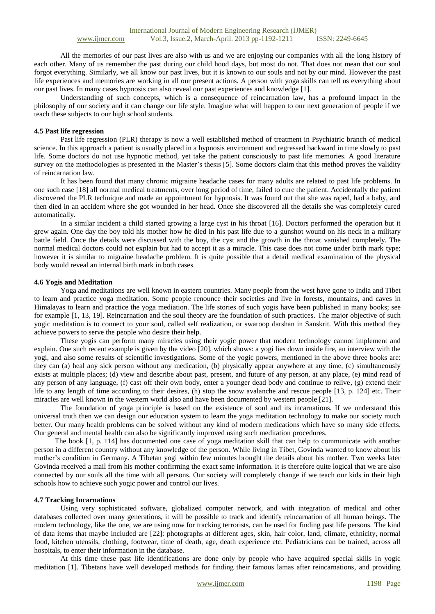All the memories of our past lives are also with us and we are enjoying our companies with all the long history of each other. Many of us remember the past during our child hood days, but most do not. That does not mean that our soul forgot everything. Similarly, we all know our past lives, but it is known to our souls and not by our mind. However the past life experiences and memories are working in all our present actions. A person with yoga skills can tell us everything about our past lives. In many cases hypnosis can also reveal our past experiences and knowledge [1].

Understanding of such concepts, which is a consequence of reincarnation law, has a profound impact in the philosophy of our society and it can change our life style. Imagine what will happen to our next generation of people if we teach these subjects to our high school students.

## **4.5 Past life regression**

Past life regression (PLR) therapy is now a well established method of treatment in Psychiatric branch of medical science. In this approach a patient is usually placed in a hypnosis environment and regressed backward in time slowly to past life. Some doctors do not use hypnotic method, yet take the patient consciously to past life memories. A good literature survey on the methodologies is presented in the Master's thesis [5]. Some doctors claim that this method proves the validity of reincarnation law.

It has been found that many chronic migraine headache cases for many adults are related to past life problems. In one such case [18] all normal medical treatments, over long period of time, failed to cure the patient. Accidentally the patient discovered the PLR technique and made an appointment for hypnosis. It was found out that she was raped, had a baby, and then died in an accident where she got wounded in her head. Once she discovered all the details she was completely cured automatically.

In a similar incident a child started growing a large cyst in his throat [16]. Doctors performed the operation but it grew again. One day the boy told his mother how he died in his past life due to a gunshot wound on his neck in a military battle field. Once the details were discussed with the boy, the cyst and the growth in the throat vanished completely. The normal medical doctors could not explain but had to accept it as a miracle. This case does not come under birth mark type; however it is similar to migraine headache problem. It is quite possible that a detail medical examination of the physical body would reveal an internal birth mark in both cases.

## **4.6 Yogis and Meditation**

Yoga and meditations are well known in eastern countries. Many people from the west have gone to India and Tibet to learn and practice yoga meditation. Some people renounce their societies and live in forests, mountains, and caves in Himalayas to learn and practice the yoga mediation. The life stories of such yogis have been published in many books; see for example [1, 13, 19]. Reincarnation and the soul theory are the foundation of such practices. The major objective of such yogic meditation is to connect to your soul, called self realization, or swaroop darshan in Sanskrit. With this method they achieve powers to serve the people who desire their help.

These yogis can perform many miracles using their yogic power that modern technology cannot implement and explain. One such recent example is given by the video [20], which shows: a yogi lies down inside fire, an interview with the yogi, and also some results of scientific investigations. Some of the yogic powers, mentioned in the above three books are: they can (a) heal any sick person without any medication, (b) physically appear anywhere at any time, (c) simultaneously exists at multiple places; (d) view and describe about past, present, and future of any person, at any place, (e) mind read of any person of any language, (f) cast off their own body, enter a younger dead body and continue to relive, (g) extend their life to any length of time according to their desires, (h) stop the snow avalanche and rescue people [13, p. 124] etc. Their miracles are well known in the western world also and have been documented by western people [21].

The foundation of yoga principle is based on the existence of soul and its incarnations. If we understand this universal truth then we can design our education system to learn the yoga meditation technology to make our society much better. Our many health problems can be solved without any kind of modern medications which have so many side effects. Our general and mental health can also be significantly improved using such meditation procedures.

The book [1, p. 114] has documented one case of yoga meditation skill that can help to communicate with another person in a different country without any knowledge of the person. While living in Tibet, Govinda wanted to know about his mother"s condition in Germany. A Tibetan yogi within few minutes brought the details about his mother. Two weeks later Govinda received a mail from his mother confirming the exact same information. It is therefore quite logical that we are also connected by our souls all the time with all persons. Our society will completely change if we teach our kids in their high schools how to achieve such yogic power and control our lives.

#### **4.7 Tracking Incarnations**

Using very sophisticated software, globalized computer network, and with integration of medical and other databases collected over many generations, it will be possible to track and identify reincarnation of all human beings. The modern technology, like the one, we are using now for tracking terrorists, can be used for finding past life persons. The kind of data items that maybe included are [22]: photographs at different ages, skin, hair color, land, climate, ethnicity, normal food, kitchen utensils, clothing, footwear, time of death, age, death experience etc. Pediatricians can be trained, across all hospitals, to enter their information in the database.

At this time these past life identifications are done only by people who have acquired special skills in yogic meditation [1]. Tibetans have well developed methods for finding their famous lamas after reincarnations, and providing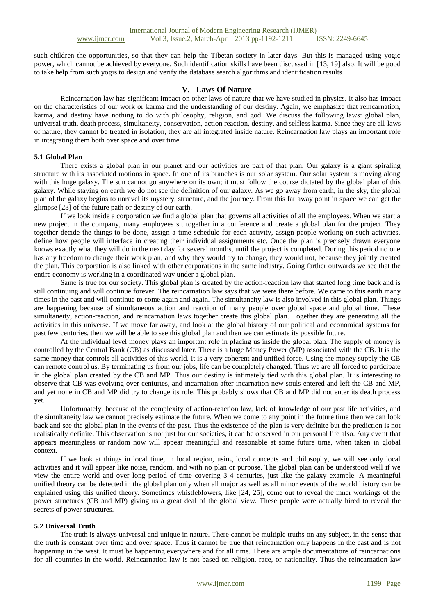such children the opportunities, so that they can help the Tibetan society in later days. But this is managed using yogic power, which cannot be achieved by everyone. Such identification skills have been discussed in [13, 19] also. It will be good to take help from such yogis to design and verify the database search algorithms and identification results.

## **V. Laws Of Nature**

Reincarnation law has significant impact on other laws of nature that we have studied in physics. It also has impact on the characteristics of our work or karma and the understanding of our destiny. Again, we emphasize that reincarnation, karma, and destiny have nothing to do with philosophy, religion, and god. We discuss the following laws: global plan, universal truth, death process, simultaneity, conservation, action reaction, destiny, and selfless karma. Since they are all laws of nature, they cannot be treated in isolation, they are all integrated inside nature. Reincarnation law plays an important role in integrating them both over space and over time.

#### **5.1 Global Plan**

There exists a global plan in our planet and our activities are part of that plan. Our galaxy is a giant spiraling structure with its associated motions in space. In one of its branches is our solar system. Our solar system is moving along with this huge galaxy. The sun cannot go anywhere on its own; it must follow the course dictated by the global plan of this galaxy. While staying on earth we do not see the definition of our galaxy. As we go away from earth, in the sky, the global plan of the galaxy begins to unravel its mystery, structure, and the journey. From this far away point in space we can get the glimpse [23] of the future path or destiny of our earth.

If we look inside a corporation we find a global plan that governs all activities of all the employees. When we start a new project in the company, many employees sit together in a conference and create a global plan for the project. They together decide the things to be done, assign a time schedule for each activity, assign people working on such activities, define how people will interface in creating their individual assignments etc. Once the plan is precisely drawn everyone knows exactly what they will do in the next day for several months, until the project is completed. During this period no one has any freedom to change their work plan, and why they would try to change, they would not, because they jointly created the plan. This corporation is also linked with other corporations in the same industry. Going farther outwards we see that the entire economy is working in a coordinated way under a global plan.

Same is true for our society. This global plan is created by the action-reaction law that started long time back and is still continuing and will continue forever. The reincarnation law says that we were there before. We came to this earth many times in the past and will continue to come again and again. The simultaneity law is also involved in this global plan. Things are happening because of simultaneous action and reaction of many people over global space and global time. These simultaneity, action-reaction, and reincarnation laws together create this global plan. Together they are generating all the activities in this universe. If we move far away, and look at the global history of our political and economical systems for past few centuries, then we will be able to see this global plan and then we can estimate its possible future.

At the individual level money plays an important role in placing us inside the global plan. The supply of money is controlled by the Central Bank (CB) as discussed later. There is a huge Money Power (MP) associated with the CB. It is the same money that controls all activities of this world. It is a very coherent and unified force. Using the money supply the CB can remote control us. By terminating us from our jobs, life can be completely changed. Thus we are all forced to participate in the global plan created by the CB and MP. Thus our destiny is intimately tied with this global plan. It is interesting to observe that CB was evolving over centuries, and incarnation after incarnation new souls entered and left the CB and MP, and yet none in CB and MP did try to change its role. This probably shows that CB and MP did not enter its death process yet.

Unfortunately, because of the complexity of action-reaction law, lack of knowledge of our past life activities, and the simultaneity law we cannot precisely estimate the future. When we come to any point in the future time then we can look back and see the global plan in the events of the past. Thus the existence of the plan is very definite but the prediction is not realistically definite. This observation is not just for our societies, it can be observed in our personal life also. Any event that appears meaningless or random now will appear meaningful and reasonable at some future time, when taken in global context.

If we look at things in local time, in local region, using local concepts and philosophy, we will see only local activities and it will appear like noise, random, and with no plan or purpose. The global plan can be understood well if we view the entire world and over long period of time covering 3-4 centuries, just like the galaxy example. A meaningful unified theory can be detected in the global plan only when all major as well as all minor events of the world history can be explained using this unified theory. Sometimes whistleblowers, like [24, 25], come out to reveal the inner workings of the power structures (CB and MP) giving us a great deal of the global view. These people were actually hired to reveal the secrets of power structures.

#### **5.2 Universal Truth**

The truth is always universal and unique in nature. There cannot be multiple truths on any subject, in the sense that the truth is constant over time and over space. Thus it cannot be true that reincarnation only happens in the east and is not happening in the west. It must be happening everywhere and for all time. There are ample documentations of reincarnations for all countries in the world. Reincarnation law is not based on religion, race, or nationality. Thus the reincarnation law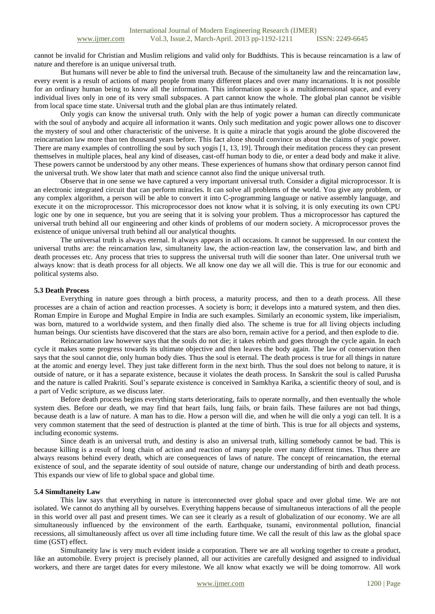cannot be invalid for Christian and Muslim religions and valid only for Buddhists. This is because reincarnation is a law of nature and therefore is an unique universal truth.

But humans will never be able to find the universal truth. Because of the simultaneity law and the reincarnation law, every event is a result of actions of many people from many different places and over many incarnations. It is not possible for an ordinary human being to know all the information. This information space is a multidimensional space, and every individual lives only in one of its very small subspaces. A part cannot know the whole. The global plan cannot be visible from local space time state. Universal truth and the global plan are thus intimately related.

Only yogis can know the universal truth. Only with the help of yogic power a human can directly communicate with the soul of anybody and acquire all information it wants. Only such meditation and yogic power allows one to discover the mystery of soul and other characteristic of the universe. It is quite a miracle that yogis around the globe discovered the reincarnation law more than ten thousand years before. This fact alone should convince us about the claims of yogic power. There are many examples of controlling the soul by such yogis [1, 13, 19]. Through their meditation process they can present themselves in multiple places, heal any kind of diseases, cast-off human body to die, or enter a dead body and make it alive. These powers cannot be understood by any other means. These experiences of humans show that ordinary person cannot find the universal truth. We show later that math and science cannot also find the unique universal truth.

Observe that in one sense we have captured a very important universal truth. Consider a digital microprocessor. It is an electronic integrated circuit that can perform miracles. It can solve all problems of the world. You give any problem, or any complex algorithm, a person will be able to convert it into C-programming language or native assembly language, and execute it on the microprocessor. This microprocessor does not know what it is solving, it is only executing its own CPU logic one by one in sequence, but you are seeing that it is solving your problem. Thus a microprocessor has captured the universal truth behind all our engineering and other kinds of problems of our modern society. A microprocessor proves the existence of unique universal truth behind all our analytical thoughts.

The universal truth is always eternal. It always appears in all occasions. It cannot be suppressed. In our context the universal truths are: the reincarnation law, simultaneity law, the action-reaction law, the conservation law, and birth and death processes etc. Any process that tries to suppress the universal truth will die sooner than later. One universal truth we always know: that is death process for all objects. We all know one day we all will die. This is true for our economic and political systems also.

## **5.3 Death Process**

Everything in nature goes through a birth process, a maturity process, and then to a death process. All these processes are a chain of action and reaction processes. A society is born; it develops into a matured system, and then dies. Roman Empire in Europe and Mughal Empire in India are such examples. Similarly an economic system, like imperialism, was born, matured to a worldwide system, and then finally died also. The scheme is true for all living objects including human beings. Our scientists have discovered that the stars are also born, remain active for a period, and then explode to die.

Reincarnation law however says that the souls do not die; it takes rebirth and goes through the cycle again. In each cycle it makes some progress towards its ultimate objective and then leaves the body again. The law of conservation then says that the soul cannot die, only human body dies. Thus the soul is eternal. The death process is true for all things in nature at the atomic and energy level. They just take different form in the next birth. Thus the soul does not belong to nature, it is outside of nature, or it has a separate existence, because it violates the death process. In Sanskrit the soul is called Purusha and the nature is called Prakriti. Soul"s separate existence is conceived in Samkhya Karika, a scientific theory of soul, and is a part of Vedic scripture, as we discuss later.

Before death process begins everything starts deteriorating, fails to operate normally, and then eventually the whole system dies. Before our death, we may find that heart fails, lung fails, or brain fails. These failures are not bad things, because death is a law of nature. A man has to die. How a person will die, and when he will die only a yogi can tell. It is a very common statement that the seed of destruction is planted at the time of birth. This is true for all objects and systems, including economic systems.

Since death is an universal truth, and destiny is also an universal truth, killing somebody cannot be bad. This is because killing is a result of long chain of action and reaction of many people over many different times. Thus there are always reasons behind every death, which are consequences of laws of nature. The concept of reincarnation, the eternal existence of soul, and the separate identity of soul outside of nature, change our understanding of birth and death process. This expands our view of life to global space and global time.

#### **5.4 Simultaneity Law**

This law says that everything in nature is interconnected over global space and over global time. We are not isolated. We cannot do anything all by ourselves. Everything happens because of simultaneous interactions of all the people in this world over all past and present times. We can see it clearly as a result of globalization of our economy. We are all simultaneously influenced by the environment of the earth. Earthquake, tsunami, environmental pollution, financial recessions, all simultaneously affect us over all time including future time. We call the result of this law as the global space time (GST) effect.

Simultaneity law is very much evident inside a corporation. There we are all working together to create a product, like an automobile. Every project is precisely planned, all our activities are carefully designed and assigned to individual workers, and there are target dates for every milestone. We all know what exactly we will be doing tomorrow. All work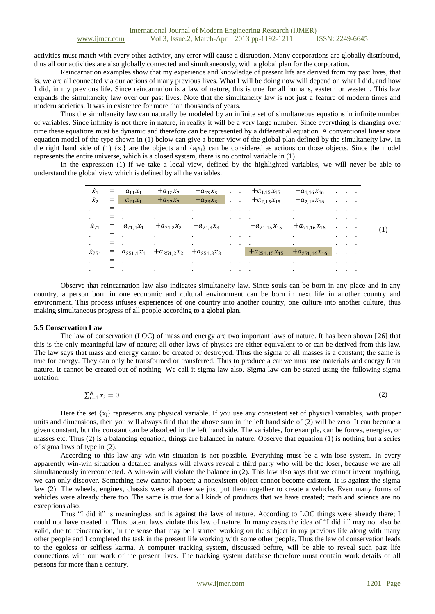activities must match with every other activity, any error will cause a disruption. Many corporations are globally distributed, thus all our activities are also globally connected and simultaneously, with a global plan for the corporation.

Reincarnation examples show that my experience and knowledge of present life are derived from my past lives, that is, we are all connected via our actions of many previous lives. What I will be doing now will depend on what I did, and how I did, in my previous life. Since reincarnation is a law of nature, this is true for all humans, eastern or western. This law expands the simultaneity law over our past lives. Note that the simultaneity law is not just a feature of modern times and modern societies. It was in existence for more than thousands of years.

Thus the simultaneity law can naturally be modeled by an infinite set of simultaneous equations in infinite number of variables. Since infinity is not there in nature, in reality it will be a very large number. Since everything is changing over time these equations must be dynamic and therefore can be represented by a differential equation. A conventional linear state equation model of the type shown in (1) below can give a better view of the global plan defined by the simultaneity law. In the right hand side of (1)  $\{x_i\}$  are the objects and  $\{a_i x_i\}$  can be considered as actions on those objects. Since the model represents the entire universe, which is a closed system, there is no control variable in (1).

In the expression (1) if we take a local view, defined by the highlighted variables, we will never be able to understand the global view which is defined by all the variables.

| $\dot{x}_1$     | $=$      | $a_{11}x_1$      | $+a_{12}x_2$                    | $+a_{13}x_3$   | $\ddot{\phantom{0}}$ | $\sim 100$                                 | $+a_{1,15}x_{15}$  | $+a_{1,16}x_{16}$                         | $\mathbf{r} = \mathbf{r} \cdot \mathbf{r}$ |  |
|-----------------|----------|------------------|---------------------------------|----------------|----------------------|--------------------------------------------|--------------------|-------------------------------------------|--------------------------------------------|--|
| $\dot{x}_2$     | $=$      | $a_{21}x_1$      | $+a_{22}x_2$                    | $+a_{23}x_3$   |                      | $\mathbf{r} = \mathbf{r} \cdot \mathbf{r}$ | $+a_{2,15}x_{15}$  | $+a_{2,16}x_{16}$<br>$\ddot{\phantom{0}}$ |                                            |  |
| $\dot{x}_{71}$  | $\equiv$ | $a_{71,1}x_1$    | ٠<br>$+a_{71,2}x_2$             | $+a_{71,3}x_3$ |                      | $\sim$ $\sim$                              | $+a_{71,15}x_{15}$ | $\cdot$<br>$+a_{71,16}x_{16}$             |                                            |  |
|                 |          |                  | $\cdot$                         |                |                      |                                            |                    | $\cdot$                                   |                                            |  |
| $\dot{x}_{251}$ |          | $= a_{251,1}x_1$ | $+a_{251,2}x_2$ $+a_{251,3}x_3$ |                |                      |                                            |                    | $+a_{251,15}x_{15} + a_{251,16}x_{16}$    |                                            |  |
|                 |          |                  |                                 |                |                      |                                            |                    |                                           |                                            |  |
|                 |          |                  |                                 |                |                      | $\cdot$ $\cdot$                            |                    |                                           |                                            |  |

Observe that reincarnation law also indicates simultaneity law. Since souls can be born in any place and in any country, a person born in one economic and cultural environment can be born in next life in another country and environment. This process infuses experiences of one country into another country, one culture into another culture, thus making simultaneous progress of all people according to a global plan.

#### **5.5 Conservation Law**

The law of conservation (LOC) of mass and energy are two important laws of nature. It has been shown [26] that this is the only meaningful law of nature; all other laws of physics are either equivalent to or can be derived from this law. The law says that mass and energy cannot be created or destroyed. Thus the sigma of all masses is a constant; the same is true for energy. They can only be transformed or transferred. Thus to produce a car we must use materials and energy from nature. It cannot be created out of nothing. We call it sigma law also. Sigma law can be stated using the following sigma notation:

$$
\sum_{i=1}^{N} x_i = 0 \tag{2}
$$

Here the set  $\{x_i\}$  represents any physical variable. If you use any consistent set of physical variables, with proper units and dimensions, then you will always find that the above sum in the left hand side of (2) will be zero. It can become a given constant, but the constant can be absorbed in the left hand side. The variables, for example, can be forces, energies, or masses etc. Thus (2) is a balancing equation, things are balanced in nature. Observe that equation (1) is nothing but a series of sigma laws of type in (2).

According to this law any win-win situation is not possible. Everything must be a win-lose system. In every apparently win-win situation a detailed analysis will always reveal a third party who will be the loser, because we are all simultaneously interconnected. A win-win will violate the balance in (2). This law also says that we cannot invent anything, we can only discover. Something new cannot happen; a nonexistent object cannot become existent. It is against the sigma law (2). The wheels, engines, chassis were all there we just put them together to create a vehicle. Even many forms of vehicles were already there too. The same is true for all kinds of products that we have created; math and science are no exceptions also.

Thus "I did it" is meaningless and is against the laws of nature. According to LOC things were already there; I could not have created it. Thus patent laws violate this law of nature. In many cases the idea of "I did it" may not also be valid, due to reincarnation, in the sense that may be I started working on the subject in my previous life along with many other people and I completed the task in the present life working with some other people. Thus the law of conservation leads to the egoless or selfless karma. A computer tracking system, discussed before, will be able to reveal such past life connections with our work of the present lives. The tracking system database therefore must contain work details of all persons for more than a century.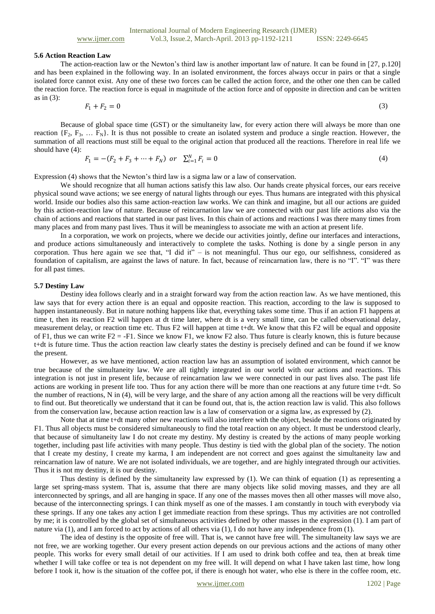#### **5.6 Action Reaction Law**

The action-reaction law or the Newton"s third law is another important law of nature. It can be found in [27, p.120] and has been explained in the following way. In an isolated environment, the forces always occur in pairs or that a single isolated force cannot exist. Any one of these two forces can be called the action force, and the other one then can be called the reaction force. The reaction force is equal in magnitude of the action force and of opposite in direction and can be written as in  $(3)$ :

$$
F_1 + F_2 = 0 \tag{3}
$$

Because of global space time (GST) or the simultaneity law, for every action there will always be more than one reaction  $\{F_2, F_3, \ldots, F_N\}$ . It is thus not possible to create an isolated system and produce a single reaction. However, the summation of all reactions must still be equal to the original action that produced all the reactions. Therefore in real life we should have (4):

$$
F_1 = -(F_2 + F_3 + \dots + F_N) \text{ or } \sum_{i=1}^N F_i = 0
$$
\n(4)

Expression (4) shows that the Newton"s third law is a sigma law or a law of conservation.

We should recognize that all human actions satisfy this law also. Our hands create physical forces, our ears receive physical sound wave actions; we see energy of natural lights through our eyes. Thus humans are integrated with this physical world. Inside our bodies also this same action-reaction law works. We can think and imagine, but all our actions are guided by this action-reaction law of nature. Because of reincarnation law we are connected with our past life actions also via the chain of actions and reactions that started in our past lives. In this chain of actions and reactions I was there many times from many places and from many past lives. Thus it will be meaningless to associate me with an action at present life.

In a corporation, we work on projects, where we decide our activities jointly, define our interfaces and interactions, and produce actions simultaneously and interactively to complete the tasks. Nothing is done by a single person in any corporation. Thus here again we see that, "I did it" – is not meaningful. Thus our ego, our selfishness, considered as foundation of capitalism, are against the laws of nature. In fact, because of reincarnation law, there is no "I". "I" was there for all past times.

#### **5.7 Destiny Law**

Destiny idea follows clearly and in a straight forward way from the action reaction law. As we have mentioned, this law says that for every action there is an equal and opposite reaction. This reaction, according to the law is supposed to happen instantaneously. But in nature nothing happens like that, everything takes some time. Thus if an action F1 happens at time t, then its reaction F2 will happen at dt time later, where dt is a very small time, can be called observational delay, measurement delay, or reaction time etc. Thus F2 will happen at time t+dt. We know that this F2 will be equal and opposite of F1, thus we can write  $F2 = -F1$ . Since we know F1, we know F2 also. Thus future is clearly known, this is future because t+dt is future time. Thus the action reaction law clearly states the destiny is precisely defined and can be found if we know the present.

However, as we have mentioned, action reaction law has an assumption of isolated environment, which cannot be true because of the simultaneity law. We are all tightly integrated in our world with our actions and reactions. This integration is not just in present life, because of reincarnation law we were connected in our past lives also. The past life actions are working in present life too. Thus for any action there will be more than one reactions at any future time t+dt. So the number of reactions, N in (4), will be very large, and the share of any action among all the reactions will be very difficult to find out. But theoretically we understand that it can be found out, that is, the action reaction law is valid. This also follows from the conservation law, because action reaction law is a law of conservation or a sigma law, as expressed by (2).

Note that at time t+dt many other new reactions will also interfere with the object, beside the reactions originated by F1. Thus all objects must be considered simultaneously to find the total reaction on any object. It must be understood clearly, that because of simultaneity law I do not create my destiny. My destiny is created by the actions of many people working together, including past life activities with many people. Thus destiny is tied with the global plan of the society. The notion that I create my destiny, I create my karma, I am independent are not correct and goes against the simultaneity law and reincarnation law of nature. We are not isolated individuals, we are together, and are highly integrated through our activities. Thus it is not my destiny, it is our destiny.

Thus destiny is defined by the simultaneity law expressed by (1). We can think of equation (1) as representing a large set spring-mass system. That is, assume that there are many objects like solid moving masses, and they are all interconnected by springs, and all are hanging in space. If any one of the masses moves then all other masses will move also, because of the interconnecting springs. I can think myself as one of the masses. I am constantly in touch with everybody via these springs. If any one takes any action I get immediate reaction from these springs. Thus my activities are not controlled by me; it is controlled by the global set of simultaneous activities defined by other masses in the expression (1). I am part of nature via (1), and I am forced to act by actions of all others via (1), I do not have any independence from (1).

The idea of destiny is the opposite of free will. That is, we cannot have free will. The simultaneity law says we are not free, we are working together. Our every present action depends on our previous actions and the actions of many other people. This works for every small detail of our activities. If I am used to drink both coffee and tea, then at break time whether I will take coffee or tea is not dependent on my free will. It will depend on what I have taken last time, how long before I took it, how is the situation of the coffee pot, if there is enough hot water, who else is there in the coffee room, etc.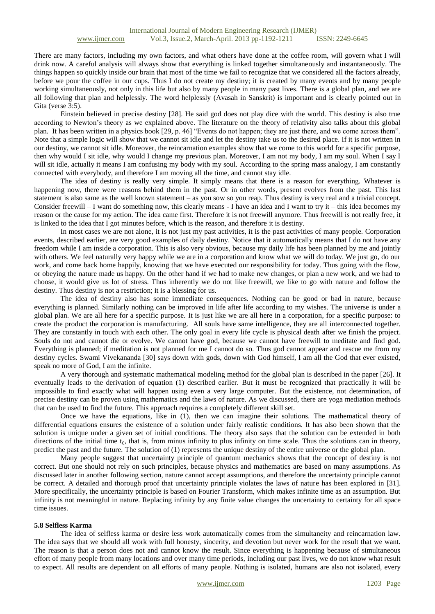There are many factors, including my own factors, and what others have done at the coffee room, will govern what I will drink now. A careful analysis will always show that everything is linked together simultaneously and instantaneously. The things happen so quickly inside our brain that most of the time we fail to recognize that we considered all the factors already, before we pour the coffee in our cups. Thus I do not create my destiny; it is created by many events and by many people working simultaneously, not only in this life but also by many people in many past lives. There is a global plan, and we are all following that plan and helplessly. The word helplessly (Avasah in Sanskrit) is important and is clearly pointed out in Gita (verse 3:5).

Einstein believed in precise destiny [28]. He said god does not play dice with the world. This destiny is also true according to Newton"s theory as we explained above. The literature on the theory of relativity also talks about this global plan. It has been written in a physics book [29, p. 46] "Events do not happen; they are just there, and we come across them". Note that a simple logic will show that we cannot sit idle and let the destiny take us to the desired place. If it is not written in our destiny, we cannot sit idle. Moreover, the reincarnation examples show that we come to this world for a specific purpose, then why would I sit idle, why would I change my previous plan. Moreover, I am not my body, I am my soul. When I say I will sit idle, actually it means I am confusing my body with my soul. According to the spring mass analogy, I am constantly connected with everybody, and therefore I am moving all the time, and cannot stay idle.

The idea of destiny is really very simple. It simply means that there is a reason for everything. Whatever is happening now, there were reasons behind them in the past. Or in other words, present evolves from the past. This last statement is also same as the well known statement – as you sow so you reap. Thus destiny is very real and a trivial concept. Consider freewill – I want do something now, this clearly means  $-1$  have an idea and I want to try it – this idea becomes my reason or the cause for my action. The idea came first. Therefore it is not freewill anymore. Thus freewill is not really free, it is linked to the idea that I got minutes before, which is the reason, and therefore it is destiny.

In most cases we are not alone, it is not just my past activities, it is the past activities of many people. Corporation events, described earlier, are very good examples of daily destiny. Notice that it automatically means that I do not have any freedom while I am inside a corporation. This is also very obvious, because my daily life has been planned by me and jointly with others. We feel naturally very happy while we are in a corporation and know what we will do today. We just go, do our work, and come back home happily, knowing that we have executed our responsibility for today. Thus going with the flow, or obeying the nature made us happy. On the other hand if we had to make new changes, or plan a new work, and we had to choose, it would give us lot of stress. Thus inherently we do not like freewill, we like to go with nature and follow the destiny. Thus destiny is not a restriction; it is a blessing for us.

The idea of destiny also has some immediate consequences. Nothing can be good or bad in nature, because everything is planned. Similarly nothing can be improved in life after life according to my wishes. The universe is under a global plan. We are all here for a specific purpose. It is just like we are all here in a corporation, for a specific purpose: to create the product the corporation is manufacturing. All souls have same intelligence, they are all interconnected together. They are constantly in touch with each other. The only goal in every life cycle is physical death after we finish the project. Souls do not and cannot die or evolve. We cannot have god, because we cannot have freewill to meditate and find god. Everything is planned; if meditation is not planned for me I cannot do so. Thus god cannot appear and rescue me from my destiny cycles. Swami Vivekananda [30] says down with gods, down with God himself, I am all the God that ever existed, speak no more of God, I am the infinite.

A very thorough and systematic mathematical modeling method for the global plan is described in the paper [26]. It eventually leads to the derivation of equation (1) described earlier. But it must be recognized that practically it will be impossible to find exactly what will happen using even a very large computer. But the existence, not determination, of precise destiny can be proven using mathematics and the laws of nature. As we discussed, there are yoga mediation methods that can be used to find the future. This approach requires a completely different skill set.

Once we have the equations, like in (1), then we can imagine their solutions. The mathematical theory of differential equations ensures the existence of a solution under fairly realistic conditions. It has also been shown that the solution is unique under a given set of initial conditions. The theory also says that the solution can be extended in both directions of the initial time t<sub>0</sub>, that is, from minus infinity to plus infinity on time scale. Thus the solutions can in theory, predict the past and the future. The solution of (1) represents the unique destiny of the entire universe or the global plan.

Many people suggest that uncertainty principle of quantum mechanics shows that the concept of destiny is not correct. But one should not rely on such principles, because physics and mathematics are based on many assumptions. As discussed later in another following section, nature cannot accept assumptions, and therefore the uncertainty principle cannot be correct. A detailed and thorough proof that uncertainty principle violates the laws of nature has been explored in [31]. More specifically, the uncertainty principle is based on Fourier Transform, which makes infinite time as an assumption. But infinity is not meaningful in nature. Replacing infinity by any finite value changes the uncertainty to certainty for all space time issues.

## **5.8 Selfless Karma**

The idea of selfless karma or desire less work automatically comes from the simultaneity and reincarnation law. The idea says that we should all work with full honesty, sincerity, and devotion but never work for the result that we want. The reason is that a person does not and cannot know the result. Since everything is happening because of simultaneous effort of many people from many locations and over many time periods, including our past lives, we do not know what result to expect. All results are dependent on all efforts of many people. Nothing is isolated, humans are also not isolated, every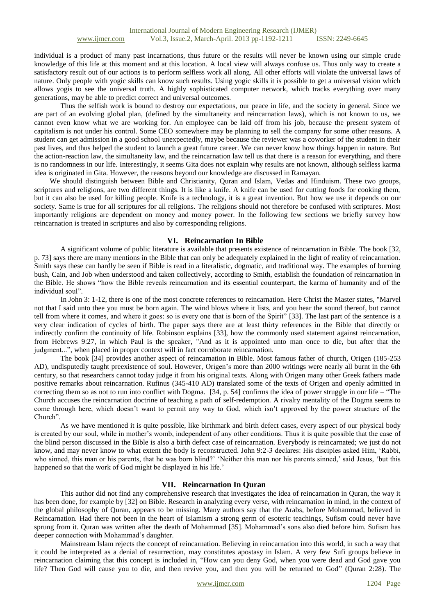individual is a product of many past incarnations, thus future or the results will never be known using our simple crude knowledge of this life at this moment and at this location. A local view will always confuse us. Thus only way to create a satisfactory result out of our actions is to perform selfless work all along. All other efforts will violate the universal laws of nature. Only people with yogic skills can know such results. Using yogic skills it is possible to get a universal vision which allows yogis to see the universal truth. A highly sophisticated computer network, which tracks everything over many generations, may be able to predict correct and universal outcomes.

Thus the selfish work is bound to destroy our expectations, our peace in life, and the society in general. Since we are part of an evolving global plan, (defined by the simultaneity and reincarnation laws), which is not known to us, we cannot even know what we are working for. An employee can be laid off from his job, because the present system of capitalism is not under his control. Some CEO somewhere may be planning to sell the company for some other reasons. A student can get admission in a good school unexpectedly, maybe because the reviewer was a coworker of the student in their past lives, and thus helped the student to launch a great future career. We can never know how things happen in nature. But the action-reaction law, the simultaneity law, and the reincarnation law tell us that there is a reason for everything, and there is no randomness in our life. Interestingly, it seems Gita does not explain why results are not known, although selfless karma idea is originated in Gita. However, the reasons beyond our knowledge are discussed in Ramayan.

We should distinguish between Bible and Christianity, Quran and Islam, Vedas and Hinduism. These two groups, scriptures and religions, are two different things. It is like a knife. A knife can be used for cutting foods for cooking them, but it can also be used for killing people. Knife is a technology, it is a great invention. But how we use it depends on our society. Same is true for all scriptures for all religions. The religions should not therefore be confused with scriptures. Most importantly religions are dependent on money and money power. In the following few sections we briefly survey how reincarnation is treated in scriptures and also by corresponding religions.

## **VI. Reincarnation In Bible**

A significant volume of public literature is available that presents existence of reincarnation in Bible. The book [32, p. 73] says there are many mentions in the Bible that can only be adequately explained in the light of reality of reincarnation. Smith says these can hardly be seen if Bible is read in a literalistic, dogmatic, and traditional way. The examples of burning bush, Cain, and Job when understood and taken collectively, according to Smith, establish the foundation of reincarnation in the Bible. He shows "how the Bible reveals reincarnation and its essential counterpart, the karma of humanity and of the individual soul".

In John 3: 1-12, there is one of the most concrete references to reincarnation. Here Christ the Master states, "Marvel not that I said unto thee you must be born again. The wind blows where it lists, and you hear the sound thereof, but cannot tell from where it comes, and where it goes: so is every one that is born of the Spirit" [33]. The last part of the sentence is a very clear indication of cycles of birth. The paper says there are at least thirty references in the Bible that directly or indirectly confirm the continuity of life. Robinson explains [33], how the commonly used statement against reincarnation, from Hebrews 9:27, in which Paul is the speaker, "And as it is appointed unto man once to die, but after that the judgment...", when placed in proper context will in fact corroborate reincarnation.

The book [34] provides another aspect of reincarnation in Bible. Most famous father of church, Origen (185-253 AD), undisputedly taught preexistence of soul. However, Origen's more than 2000 writings were nearly all burnt in the 6th century, so that researchers cannot today judge it from his original texts. Along with Origen many other Greek fathers made positive remarks about reincarnation. Rufinus (345-410 AD) translated some of the texts of Origen and openly admitted in correcting them so as not to run into conflict with Dogma. [34, p. 54] confirms the idea of power struggle in our life – "The Church accuses the reincarnation doctrine of teaching a path of self-redemption*.* A rivalry mentality of the Dogma seems to come through here, which doesn"t want to permit any way to God, which isn"t approved by the power structure of the Church".

As we have mentioned it is quite possible, like birthmark and birth defect cases, every aspect of our physical body is created by our soul, while in mother"s womb, independent of any other conditions. Thus it is quite possible that the case of the blind person discussed in the Bible is also a birth defect case of reincarnation. Everybody is reincarnated; we just do not know, and may never know to what extent the body is reconstructed. John 9:2-3 declares: His disciples asked Him, "Rabbi, who sinned, this man or his parents, that he was born blind? 'Neither this man nor his parents sinned,' said Jesus, 'but this happened so that the work of God might be displayed in his life.'

#### **VII. Reincarnation In Quran**

This author did not find any comprehensive research that investigates the idea of reincarnation in Quran, the way it has been done, for example by [32] on Bible. Research in analyzing every verse, with reincarnation in mind, in the context of the global philosophy of Quran, appears to be missing. Many authors say that the Arabs, before Mohammad, believed in Reincarnation. Had there not been in the heart of Islamism a strong germ of esoteric teachings, Sufism could never have sprung from it. Quran was written after the death of Mohammad [35]. Mohammad"s sons also died before him. Sufism has deeper connection with Mohammad"s daughter.

Mainstream Islam rejects the concept of reincarnation. Believing in reincarnation into this world, in such a way that it could be interpreted as a denial of resurrection, may constitutes apostasy in Islam. A very few Sufi groups believe in reincarnation claiming that this concept is included in, "How can you deny God, when you were dead and God gave you life? Then God will cause you to die, and then revive you, and then you will be returned to God" (Quran 2:28). The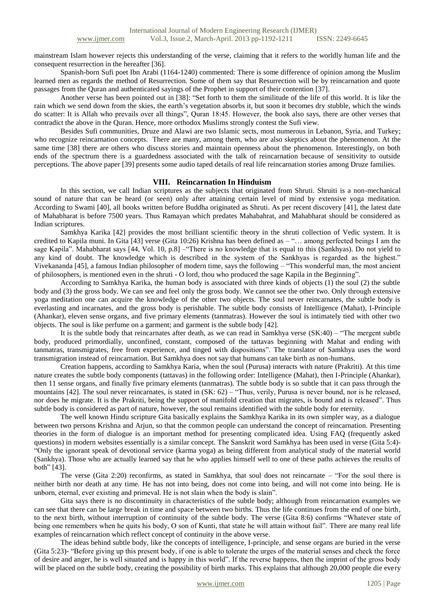mainstream Islam however rejects this understanding of the verse, claiming that it refers to the worldly human life and the consequent resurrection in the hereafter [36].

Spanish-born Sufi poet Ibn Arabi (1164-1240) commented: There is some difference of opinion among the Muslim learned men as regards the method of Resurrection. Some of them say that Resurrection will be by reincarnation and quote passages from the Quran and authenticated sayings of the Prophet in support of their contention [37].

Another verse has been pointed out in [38]: "Set forth to them the similitude of the life of this world. It is like the rain which we send down from the skies, the earth"s vegetation absorbs it, but soon it becomes dry stubble, which the winds do scatter: It is Allah who prevails over all things", Quran 18:45. However, the book also says, there are other verses that contradict the above in the Quran. Hence, more orthodox Muslims strongly contest the Sufi view.

Besides Sufi communities, Druze and Alawi are two Islamic sects, most numerous in Lebanon, Syria, and Turkey; who recognize reincarnation concepts. There are many, among them, who are also skeptics about the phenomenon. At the same time [38] there are others who discuss stories and maintain openness about the phenomenon. Interestingly, on both ends of the spectrum there is a guardedness associated with the talk of reincarnation because of sensitivity to outside perceptions. The above paper [39] presents some audio taped details of real life reincarnation stories among Druze families.

#### **VIII. Reincarnation In Hinduism**

In this section, we call Indian scriptures as the subjects that originated from Shruti. Shruiti is a non-mechanical sound of nature that can be heard (or seen) only after attaining certain level of mind by extensive yoga meditation. According to Swami [40], all books written before Buddha originated as Shruti. As per recent discovery [41], the latest date of Mahabharat is before 7500 years. Thus Ramayan which predates Mahabahrat, and Mahabharat should be considered as Indian scriptures.

Samkhya Karika [42] provides the most brilliant scientific theory in the shruti collection of Vedic system. It is credited to Kapila muni. In Gita [43] verse (Gita 10:26) Krishna has been defined as – "… among perfected beings I am the sage Kapila". Mahabharat says [44, Vol. 10, p.8] – "There is no knowledge that is equal to this (Sankhyas). Do not yield to any kind of doubt. The knowledge which is described in the system of the Sankhyas is regarded as the highest." Vivekananda [45], a famous Indian philosopher of modern time, says the following – "This wonderful man, the most ancient of philosophers, is mentioned even in the shruti - O lord, thou who produced the sage Kapila in the Beginning".

According to Samkhya Karika, the human body is associated with three kinds of objects (1) the soul (2) the subtle body and (3) the gross body. We can see and feel only the gross body. We cannot see the other two. Only through extensive yoga meditation one can acquire the knowledge of the other two objects. The soul never reincarnates, the subtle body is everlasting and incarnates, and the gross body is perishable. The subtle body consists of Intelligence (Mahat), I-Principle (Ahankar), eleven sense organs, and five primary elements (tanmatras). However the soul is intimately tied with other two objects. The soul is like perfume on a garment; and garment is the subtle body [42].

It is the subtle body that reincarnates after death, as we can read in Samkhya verse (SK:40) – "The mergent subtle body, produced primordially, unconfined, constant, composed of the tattavas beginning with Mahat and ending with tanmatras, transmigrates, free from experience, and tinged with dispositions". The translator of Samkhya uses the word transmigration instead of reincarnation. But Samkhya does not say that humans can take birth as non-humans.

Creation happens, according to Samkhya Karia, when the soul (Purusa) interacts with nature (Prakriti). At this time nature creates the subtle body components (tattavas) in the following order: Intelligence (Mahat), then I-Principle (Ahankar), then 11 sense organs, and finally five primary elements (tanmatras). The subtle body is so subtle that it can pass through the mountains [42]. The soul never reincarnates, is stated in  $(SK: 62)$  – "Thus, verily, Purusa is never bound, nor is he released, nor does he migrate. It is the Prakriti, being the support of manifold creation that migrates, is bound and is released". Thus subtle body is considered as part of nature, however, the soul remains identified with the subtle body for eternity.

The well known Hindu scripture Gita basically explains the Samkhya Karika in its own simpler way, as a dialogue between two persons Krishna and Arjun, so that the common people can understand the concept of reincarnation. Presenting theories in the form of dialogue is an important method for presenting complicated idea. Using FAQ (frequently asked questions) in modern websites essentially is a similar concept. The Sanskrit word Samkhya has been used in verse (Gita 5:4)- "Only the ignorant speak of devotional service (karma yoga) as being different from analytical study of the material world (Sankhya). Those who are actually learned say that he who applies himself well to one of these paths achieves the results of both" [43].

The verse (Gita 2:20) reconfirms, as stated in Samkhya, that soul does not reincarnate – "For the soul there is neither birth nor death at any time. He has not into being, does not come into being, and will not come into being. He is unborn, eternal, ever existing and primeval. He is not slain when the body is slain".

Gita says there is no discontinuity in characteristics of the subtle body; although from reincarnation examples we can see that there can be large break in time and space between two births. Thus the life continues from the end of one birth, to the next birth, without interruption of continuity of the subtle body. The verse (Gita 8:6) confirms "Whatever state of being one remembers when he quits his body, O son of Kunti, that state he will attain without fail". There are many real life examples of reincarnation which reflect concept of continuity in the above verse.

The ideas behind subtle body, like the concepts of intelligence, I-principle, and sense organs are buried in the verse (Gita 5:23)- "Before giving up this present body, if one is able to tolerate the urges of the material senses and check the force of desire and anger, he is well situated and is happy in this world". If the reverse happens, then the imprint of the gross body will be placed on the subtle body, creating the possibility of birth marks. This explains that although 20,000 people die every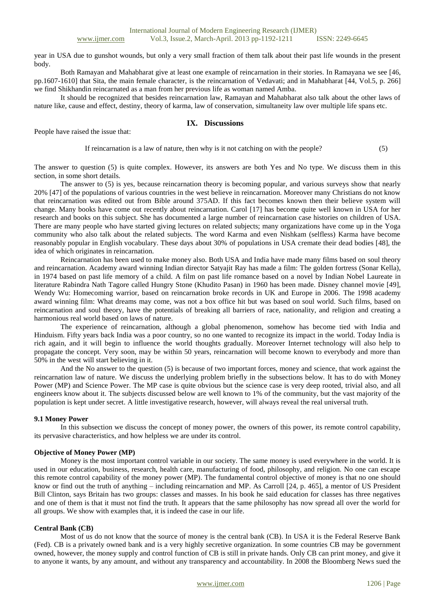year in USA due to gunshot wounds, but only a very small fraction of them talk about their past life wounds in the present body.

Both Ramayan and Mahabharat give at least one example of reincarnation in their stories. In Ramayana we see [46, pp.1607-1610] that Sita, the main female character, is the reincarnation of Vedavati; and in Mahabharat [44, Vol.5, p. 266] we find Shikhandin reincarnated as a man from her previous life as woman named Amba.

It should be recognized that besides reincarnation law, Ramayan and Mahabharat also talk about the other laws of nature like, cause and effect, destiny, theory of karma, law of conservation, simultaneity law over multiple life spans etc.

# **IX. Discussions**

People have raised the issue that:

If reincarnation is a law of nature, then why is it not catching on with the people? (5)

The answer to question (5) is quite complex. However, its answers are both Yes and No type. We discuss them in this section, in some short details.

The answer to (5) is yes, because reincarnation theory is becoming popular, and various surveys show that nearly 20% [47] of the populations of various countries in the west believe in reincarnation. Moreover many Christians do not know that reincarnation was edited out from Bible around 375AD. If this fact becomes known then their believe system will change. Many books have come out recently about reincarnation. Carol [17] has become quite well known in USA for her research and books on this subject. She has documented a large number of reincarnation case histories on children of USA. There are many people who have started giving lectures on related subjects; many organizations have come up in the Yoga community who also talk about the related subjects. The word Karma and even Nishkam (selfless) Karma have become reasonably popular in English vocabulary. These days about 30% of populations in USA cremate their dead bodies [48], the idea of which originates in reincarnation.

Reincarnation has been used to make money also. Both USA and India have made many films based on soul theory and reincarnation. Academy award winning Indian director Satyajit Ray has made a film: The golden fortress (Sonar Kella), in 1974 based on past life memory of a child. A film on past life romance based on a novel by Indian Nobel Laureate in literature Rabindra Nath Tagore called Hungry Stone (Khudito Pasan) in 1960 has been made. Disney channel movie [49], Wendy Wu: Homecoming warrior, based on reincarnation broke records in UK and Europe in 2006. The 1998 academy award winning film: What dreams may come, was not a box office hit but was based on soul world. Such films, based on reincarnation and soul theory, have the potentials of breaking all barriers of race, nationality, and religion and creating a harmonious real world based on laws of nature.

The experience of reincarnation, although a global phenomenon, somehow has become tied with India and Hinduism. Fifty years back India was a poor country, so no one wanted to recognize its impact in the world. Today India is rich again, and it will begin to influence the world thoughts gradually. Moreover Internet technology will also help to propagate the concept. Very soon, may be within 50 years, reincarnation will become known to everybody and more than 50% in the west will start believing in it.

And the No answer to the question (5) is because of two important forces, money and science, that work against the reincarnation law of nature. We discuss the underlying problem briefly in the subsections below. It has to do with Money Power (MP) and Science Power. The MP case is quite obvious but the science case is very deep rooted, trivial also, and all engineers know about it. The subjects discussed below are well known to 1% of the community, but the vast majority of the population is kept under secret. A little investigative research, however, will always reveal the real universal truth.

#### **9.1 Money Power**

In this subsection we discuss the concept of money power, the owners of this power, its remote control capability, its pervasive characteristics, and how helpless we are under its control.

#### **Objective of Money Power (MP)**

Money is the most important control variable in our society. The same money is used everywhere in the world. It is used in our education, business, research, health care, manufacturing of food, philosophy, and religion. No one can escape this remote control capability of the money power (MP). The fundamental control objective of money is that no one should know or find out the truth of anything – including reincarnation and MP. As Carroll [24, p. 465], a mentor of US President Bill Clinton, says Britain has two groups: classes and masses. In his book he said education for classes has three negatives and one of them is that it must not find the truth. It appears that the same philosophy has now spread all over the world for all groups. We show with examples that, it is indeed the case in our life.

## **Central Bank (CB)**

Most of us do not know that the source of money is the central bank (CB). In USA it is the Federal Reserve Bank (Fed). CB is a privately owned bank and is a very highly secretive organization. In some countries CB may be government owned, however, the money supply and control function of CB is still in private hands. Only CB can print money, and give it to anyone it wants, by any amount, and without any transparency and accountability. In 2008 the Bloomberg News sued the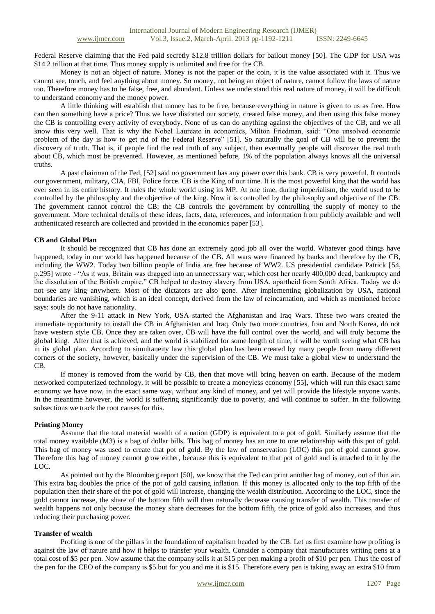Federal Reserve claiming that the Fed paid secretly \$12.8 trillion dollars for bailout money [50]. The GDP for USA was \$14.2 trillion at that time. Thus money supply is unlimited and free for the CB.

Money is not an object of nature. Money is not the paper or the coin, it is the value associated with it. Thus we cannot see, touch, and feel anything about money. So money, not being an object of nature, cannot follow the laws of nature too. Therefore money has to be false, free, and abundant. Unless we understand this real nature of money, it will be difficult to understand economy and the money power.

A little thinking will establish that money has to be free, because everything in nature is given to us as free. How can then something have a price? Thus we have distorted our society, created false money, and then using this false money the CB is controlling every activity of everybody. None of us can do anything against the objectives of the CB, and we all know this very well. That is why the Nobel Laureate in economics, Milton Friedman, said: "One unsolved economic problem of the day is how to get rid of the Federal Reserve" [51]. So naturally the goal of CB will be to prevent the discovery of truth. That is, if people find the real truth of any subject, then eventually people will discover the real truth about CB, which must be prevented. However, as mentioned before, 1% of the population always knows all the universal truths.

A past chairman of the Fed, [52] said no government has any power over this bank. CB is very powerful. It controls our government, military, CIA, FBI, Police force. CB is the King of our time. It is the most powerful king that the world has ever seen in its entire history. It rules the whole world using its MP. At one time, during imperialism, the world used to be controlled by the philosophy and the objective of the king. Now it is controlled by the philosophy and objective of the CB. The government cannot control the CB; the CB controls the government by controlling the supply of money to the government. More technical details of these ideas, facts, data, references, and information from publicly available and well authenticated research are collected and provided in the economics paper [53].

## **CB and Global Plan**

It should be recognized that CB has done an extremely good job all over the world. Whatever good things have happened, today in our world has happened because of the CB. All wars were financed by banks and therefore by the CB, including the WW2. Today two billion people of India are free because of WW2. US presidential candidate Patrick [54, p.295] wrote - "As it was, Britain was dragged into an unnecessary war, which cost her nearly 400,000 dead, bankruptcy and the dissolution of the British empire." CB helped to destroy slavery from USA, apartheid from South Africa. Today we do not see any king anywhere. Most of the dictators are also gone. After implementing globalization by USA, national boundaries are vanishing, which is an ideal concept, derived from the law of reincarnation, and which as mentioned before says: souls do not have nationality.

After the 9-11 attack in New York, USA started the Afghanistan and Iraq Wars. These two wars created the immediate opportunity to install the CB in Afghanistan and Iraq. Only two more countries, Iran and North Korea, do not have western style CB. Once they are taken over, CB will have the full control over the world, and will truly become the global king. After that is achieved, and the world is stabilized for some length of time, it will be worth seeing what CB has in its global plan. According to simultaneity law this global plan has been created by many people from many different corners of the society, however, basically under the supervision of the CB. We must take a global view to understand the CB.

If money is removed from the world by CB, then that move will bring heaven on earth. Because of the modern networked computerized technology, it will be possible to create a moneyless economy [55], which will run this exact same economy we have now, in the exact same way, without any kind of money, and yet will provide the lifestyle anyone wants. In the meantime however, the world is suffering significantly due to poverty, and will continue to suffer. In the following subsections we track the root causes for this.

## **Printing Money**

Assume that the total material wealth of a nation (GDP) is equivalent to a pot of gold. Similarly assume that the total money available (M3) is a bag of dollar bills. This bag of money has an one to one relationship with this pot of gold. This bag of money was used to create that pot of gold. By the law of conservation (LOC) this pot of gold cannot grow. Therefore this bag of money cannot grow either, because this is equivalent to that pot of gold and is attached to it by the LOC.

As pointed out by the Bloomberg report [50], we know that the Fed can print another bag of money, out of thin air. This extra bag doubles the price of the pot of gold causing inflation. If this money is allocated only to the top fifth of the population then their share of the pot of gold will increase, changing the wealth distribution. According to the LOC, since the gold cannot increase, the share of the bottom fifth will then naturally decrease causing transfer of wealth. This transfer of wealth happens not only because the money share decreases for the bottom fifth, the price of gold also increases, and thus reducing their purchasing power.

## **Transfer of wealth**

Profiting is one of the pillars in the foundation of capitalism headed by the CB. Let us first examine how profiting is against the law of nature and how it helps to transfer your wealth. Consider a company that manufactures writing pens at a total cost of \$5 per pen. Now assume that the company sells it at \$15 per pen making a profit of \$10 per pen. Thus the cost of the pen for the CEO of the company is \$5 but for you and me it is \$15. Therefore every pen is taking away an extra \$10 from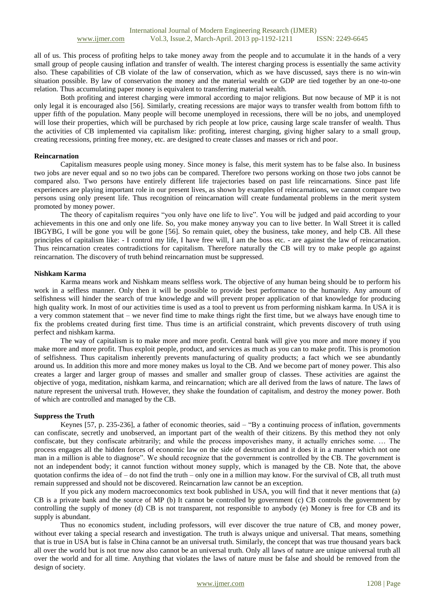all of us. This process of profiting helps to take money away from the people and to accumulate it in the hands of a very small group of people causing inflation and transfer of wealth. The interest charging process is essentially the same activity also. These capabilities of CB violate of the law of conservation, which as we have discussed, says there is no win-win situation possible. By law of conservation the money and the material wealth or GDP are tied together by an one-to-one relation. Thus accumulating paper money is equivalent to transferring material wealth.

Both profiting and interest charging were immoral according to major religions. But now because of MP it is not only legal it is encouraged also [56]. Similarly, creating recessions are major ways to transfer wealth from bottom fifth to upper fifth of the population. Many people will become unemployed in recessions, there will be no jobs, and unemployed will lose their properties, which will be purchased by rich people at low price, causing large scale transfer of wealth. Thus the activities of CB implemented via capitalism like: profiting, interest charging, giving higher salary to a small group, creating recessions, printing free money, etc. are designed to create classes and masses or rich and poor.

## **Reincarnation**

Capitalism measures people using money. Since money is false, this merit system has to be false also. In business two jobs are never equal and so no two jobs can be compared. Therefore two persons working on those two jobs cannot be compared also. Two persons have entirely different life trajectories based on past life reincarnations. Since past life experiences are playing important role in our present lives, as shown by examples of reincarnations, we cannot compare two persons using only present life. Thus recognition of reincarnation will create fundamental problems in the merit system promoted by money power.

The theory of capitalism requires "you only have one life to live". You will be judged and paid according to your achievements in this one and only one life. So, you make money anyway you can to live better. In Wall Street it is called IBGYBG, I will be gone you will be gone [56]. So remain quiet, obey the business, take money, and help CB. All these principles of capitalism like: - I control my life, I have free will, I am the boss etc. - are against the law of reincarnation. Thus reincarnation creates contradictions for capitalism. Therefore naturally the CB will try to make people go against reincarnation. The discovery of truth behind reincarnation must be suppressed.

## **Nishkam Karma**

Karma means work and Nishkam means selfless work. The objective of any human being should be to perform his work in a selfless manner. Only then it will be possible to provide best performance to the humanity. Any amount of selfishness will hinder the search of true knowledge and will prevent proper application of that knowledge for producing high quality work. In most of our activities time is used as a tool to prevent us from performing nishkam karma. In USA it is a very common statement that – we never find time to make things right the first time, but we always have enough time to fix the problems created during first time. Thus time is an artificial constraint, which prevents discovery of truth using perfect and nishkam karma.

The way of capitalism is to make more and more profit. Central bank will give you more and more money if you make more and more profit. Thus exploit people, product, and services as much as you can to make profit. This is promotion of selfishness. Thus capitalism inherently prevents manufacturing of quality products; a fact which we see abundantly around us. In addition this more and more money makes us loyal to the CB. And we become part of money power. This also creates a larger and larger group of masses and smaller and smaller group of classes. These activities are against the objective of yoga, meditation, nishkam karma, and reincarnation; which are all derived from the laws of nature. The laws of nature represent the universal truth. However, they shake the foundation of capitalism, and destroy the money power. Both of which are controlled and managed by the CB.

## **Suppress the Truth**

Keynes [57, p. 235-236], a father of economic theories, said – "By a continuing process of inflation, governments can confiscate, secretly and unobserved, an important part of the wealth of their citizens. By this method they not only confiscate, but they confiscate arbitrarily; and while the process impoverishes many, it actually enriches some. … The process engages all the hidden forces of economic law on the side of destruction and it does it in a manner which not one man in a million is able to diagnose". We should recognize that the government is controlled by the CB. The government is not an independent body; it cannot function without money supply, which is managed by the CB. Note that, the above quotation confirms the idea of – do not find the truth – only one in a million may know. For the survival of CB, all truth must remain suppressed and should not be discovered. Reincarnation law cannot be an exception.

If you pick any modern macroeconomics text book published in USA, you will find that it never mentions that (a) CB is a private bank and the source of MP (b) It cannot be controlled by government (c) CB controls the government by controlling the supply of money (d) CB is not transparent, not responsible to anybody (e) Money is free for CB and its supply is abundant.

Thus no economics student, including professors, will ever discover the true nature of CB, and money power, without ever taking a special research and investigation. The truth is always unique and universal. That means, something that is true in USA but is false in China cannot be an universal truth. Similarly, the concept that was true thousand years back all over the world but is not true now also cannot be an universal truth. Only all laws of nature are unique universal truth all over the world and for all time. Anything that violates the laws of nature must be false and should be removed from the design of society.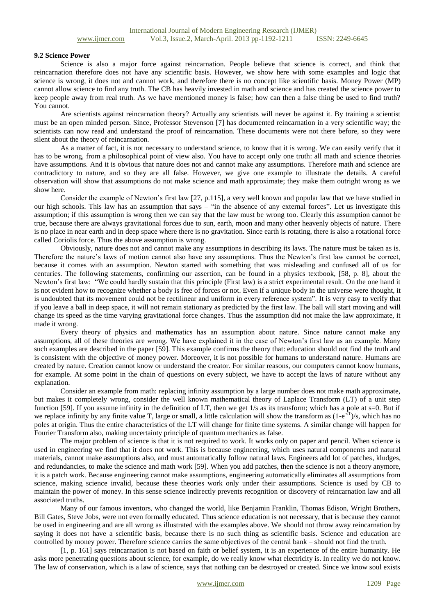#### **9.2 Science Power**

Science is also a major force against reincarnation. People believe that science is correct, and think that reincarnation therefore does not have any scientific basis. However, we show here with some examples and logic that science is wrong, it does not and cannot work, and therefore there is no concept like scientific basis. Money Power (MP) cannot allow science to find any truth. The CB has heavily invested in math and science and has created the science power to keep people away from real truth. As we have mentioned money is false; how can then a false thing be used to find truth? You cannot.

Are scientists against reincarnation theory? Actually any scientists will never be against it. By training a scientist must be an open minded person. Since, Professor Stevenson [7] has documented reincarnation in a very scientific way; the scientists can now read and understand the proof of reincarnation. These documents were not there before, so they were silent about the theory of reincarnation.

As a matter of fact, it is not necessary to understand science, to know that it is wrong. We can easily verify that it has to be wrong, from a philosophical point of view also. You have to accept only one truth: all math and science theories have assumptions. And it is obvious that nature does not and cannot make any assumptions. Therefore math and science are contradictory to nature, and so they are all false. However, we give one example to illustrate the details. A careful observation will show that assumptions do not make science and math approximate; they make them outright wrong as we show here.

Consider the example of Newton"s first law [27, p.115], a very well known and popular law that we have studied in our high schools. This law has an assumption that says – "in the absence of any external forces". Let us investigate this assumption; if this assumption is wrong then we can say that the law must be wrong too. Clearly this assumption cannot be true, because there are always gravitational forces due to sun, earth, moon and many other heavenly objects of nature. There is no place in near earth and in deep space where there is no gravitation. Since earth is rotating, there is also a rotational force called Coriolis force. Thus the above assumption is wrong.

Obviously, nature does not and cannot make any assumptions in describing its laws. The nature must be taken as is. Therefore the nature's laws of motion cannot also have any assumptions. Thus the Newton's first law cannot be correct, because it comes with an assumption. Newton started with something that was misleading and confused all of us for centuries. The following statements, confirming our assertion, can be found in a physics textbook, [58, p. 8], about the Newton"s first law: "We could hardly sustain that this principle (First law) is a strict experimental result. On the one hand it is not evident how to recognize whether a body is free of forces or not. Even if a unique body in the universe were thought, it is undoubted that its movement could not be rectilinear and uniform in every reference system". It is very easy to verify that if you leave a ball in deep space, it will not remain stationary as predicted by the first law. The ball will start moving and will change its speed as the time varying gravitational force changes. Thus the assumption did not make the law approximate, it made it wrong.

Every theory of physics and mathematics has an assumption about nature. Since nature cannot make any assumptions, all of these theories are wrong. We have explained it in the case of Newton"s first law as an example. Many such examples are described in the paper [59]. This example confirms the theory that: education should not find the truth and is consistent with the objective of money power. Moreover, it is not possible for humans to understand nature. Humans are created by nature. Creation cannot know or understand the creator. For similar reasons, our computers cannot know humans, for example. At some point in the chain of questions on every subject, we have to accept the laws of nature without any explanation.

Consider an example from math: replacing infinity assumption by a large number does not make math approximate, but makes it completely wrong, consider the well known mathematical theory of Laplace Transform (LT) of a unit step function [59]. If you assume infinity in the definition of LT, then we get 1/s as its transform; which has a pole at s=0. But if we replace infinity by any finite value T, large or small, a little calculation will show the transform as  $(1-e^{sT})/s$ , which has no poles at origin. Thus the entire characteristics of the LT will change for finite time systems. A similar change will happen for Fourier Transform also, making uncertainty principle of quantum mechanics as false.

The major problem of science is that it is not required to work. It works only on paper and pencil. When science is used in engineering we find that it does not work. This is because engineering, which uses natural components and natural materials, cannot make assumptions also, and must automatically follow natural laws. Engineers add lot of patches, kludges, and redundancies, to make the science and math work [59]. When you add patches, then the science is not a theory anymore, it is a patch work. Because engineering cannot make assumptions, engineering automatically eliminates all assumptions from science, making science invalid, because these theories work only under their assumptions. Science is used by CB to maintain the power of money. In this sense science indirectly prevents recognition or discovery of reincarnation law and all associated truths.

Many of our famous inventors, who changed the world, like Benjamin Franklin, Thomas Edison, Wright Brothers, Bill Gates, Steve Jobs, were not even formally educated. Thus science education is not necessary, that is because they cannot be used in engineering and are all wrong as illustrated with the examples above. We should not throw away reincarnation by saying it does not have a scientific basis, because there is no such thing as scientific basis. Science and education are controlled by money power. Therefore science carries the same objectives of the central bank – should not find the truth.

[1, p. 161] says reincarnation is not based on faith or belief system, it is an experience of the entire humanity. He asks more penetrating questions about science, for example, do we really know what electricity is. In reality we do not know. The law of conservation, which is a law of science, says that nothing can be destroyed or created. Since we know soul exists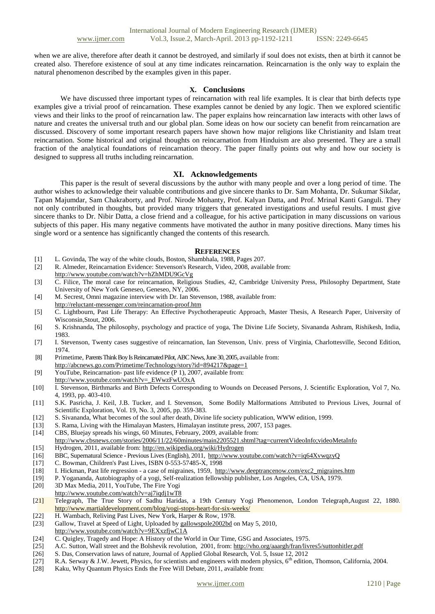when we are alive, therefore after death it cannot be destroyed, and similarly if soul does not exists, then at birth it cannot be created also. Therefore existence of soul at any time indicates reincarnation. Reincarnation is the only way to explain the natural phenomenon described by the examples given in this paper.

## **X. Conclusions**

We have discussed three important types of reincarnation with real life examples. It is clear that birth defects type examples give a trivial proof of reincarnation. These examples cannot be denied by any logic. Then we explored scientific views and their links to the proof of reincarnation law. The paper explains how reincarnation law interacts with other laws of nature and creates the universal truth and our global plan. Some ideas on how our society can benefit from reincarnation are discussed. Discovery of some important research papers have shown how major religions like Christianity and Islam treat reincarnation. Some historical and original thoughts on reincarnation from Hinduism are also presented. They are a small fraction of the analytical foundations of reincarnation theory. The paper finally points out why and how our society is designed to suppress all truths including reincarnation.

## **XI. Acknowledgements**

This paper is the result of several discussions by the author with many people and over a long period of time. The author wishes to acknowledge their valuable contributions and give sincere thanks to Dr. Sam Mohanta, Dr. Sukumar Sikdar, Tapan Majumdar, Sam Chakraborty, and Prof. Nirode Mohanty, Prof. Kalyan Datta, and Prof. Mrinal Kanti Ganguli. They not only contributed in thoughts, but provided many triggers that generated investigations and useful results. I must give sincere thanks to Dr. Nibir Datta, a close friend and a colleague, for his active participation in many discussions on various subjects of this paper. His many negative comments have motivated the author in many positive directions. Many times his single word or a sentence has significantly changed the contents of this research.

#### **REFERENCES**

- [1] L. Govinda, The way of the white clouds, Boston, Shambhala, 1988, Pages 207.
- [2] R. Almeder, Reincarnation Evidence: Stevenson's Research, Video, 2008, available from: <http://www.youtube.com/watch?v=hZhMDU9GcVg>
- [3] C. Filice, The moral case for reincarnation, Religious Studies, 42, Cambridge University Press, Philosophy Department, State University of New York Geneseo, Geneseo, NY, 2006.
- [4] M. Secrest, Omni magazine interview with Dr. Ian Stevenson, 1988, available from: <http://reluctant-messenger.com/reincarnation-proof.htm>
- [5] C. Lightbourn, Past Life Therapy: An Effective Psychotherapeutic Approach, Master Thesis, A Research Paper, University of Wisconsin,Stout, 2006.
- [6] S. Krishnanda, The philosophy, psychology and practice of yoga, The Divine Life Society, Sivananda Ashram, Rishikesh, India, 1983.
- [7] I. Stevenson, Twenty cases suggestive of reincarnation, Ian Stevenson, Univ. press of Virginia, Charlottesville, Second Edition, 1974.
- [8] Primetime, Parents Think Boy Is Reincarnated Pilot, ABC News, June 30, 2005, available from: <http://abcnews.go.com/Primetime/Technology/story?id=894217&page=1>
- [9] YouTube, Reincarnation- past life evidence (P 1), 2007, available from: [http://www.youtube.com/watch?v=\\_EWwzFwUOxA](http://www.youtube.com/watch?v=_EWwzFwUOxA)
- [10] I. Stevenson, Birthmarks and Birth Defects Corresponding to Wounds on Deceased Persons, J. Scientific Exploration, Vol 7, No. 4, 1993, pp. 403-410.
- [11] S.K. Pasricha, J. Keil, J.B. Tucker, and I. Stevenson, Some Bodily Malformations Attributed to Previous Lives, Journal of Scientific Exploration, Vol. 19, No. 3, 2005, pp. 359-383.
- [12] S. Sivananda, What becomes of the soul after death, Divine life society publication, WWW edition, 1999.
- [13] S. Rama, Living with the Himalayan Masters, Himalayan institute press, 2007, 153 pages.
- [14] CBS, Bluejay spreads his wings, 60 Minutes, February, 2009, available from: <http://www.cbsnews.com/stories/2006/11/22/60minutes/main2205521.shtml?tag=currentVideoInfo;videoMetaInfo>
- [15] Hydrogen, 2011, available from:<http://en.wikipedia.org/wiki/Hydrogen>
- [16] BBC, Supernatural Science Previous Lives (English), 2011,<http://www.youtube.com/watch?v=iq64XvwqzyQ>
- [17] C[. Bowman, Children's Past Lives,](http://en.wikipedia.org/wiki/Carol_Bowman) [ISBN 0-553-57485-X,](http://en.wikipedia.org/wiki/Special:BookSources/055357485X) 1998
- [18] I. Hickman, Past life regression a case of migraines, 1959, [http://www.deeptrancenow.com/exc2\\_migraines.htm](http://www.deeptrancenow.com/exc2_migraines.htm)
- [19] P. Yogananda, Autobiography of a yogi, Self-realization fellowship publisher, Los Angeles, CA, USA, 1979.
- [20] 3D Max Media, 2011, YouTube, The Fire Yogi <http://www.youtube.com/watch?v=aj7iqdj1wT8>
- [21] Telegraph, The True Story of Sadhu Haridas, a 19th Century Yogi Phenomenon, London Telegraph,August 22, 1880. <http://www.martialdevelopment.com/blog/yogi-stops-heart-for-six-weeks/>
- [22] H. Wambach, Reliving Past Lives, New York, Harper & Row, 1978.
- [23] Gallow, Travel at Speed of Light, Uploaded by [gallowspole2002bd](http://www.youtube.com/user/gallowspole2002bd) on May 5, 2010,
- <http://www.youtube.com/watch?v=9EXxzfjwC1A>
- [24] C. Quigley, Tragedy and Hope: A History of the World in Our Time, GSG and Associates, 1975.
- [25] A.C. Sutton, Wall street and the Bolshevik revolution, 2001, from[: http://vho.org/aaargh/fran/livres5/suttonhitler.pdf](http://vho.org/aaargh/fran/livres5/suttonhitler.pdf)
- [26] S. Das, Conservation laws of nature, Journal of Applied Global Research, Vol. 5, Issue 12, 2012<br>[27] R.A. Serway & J.W. Jewett, Physics, for scientists and engineers with modern physics, 6<sup>th</sup> edition
- R.A. Serway & J.W. Jewett, Physics, for scientists and engineers with modern physics,  $6<sup>th</sup>$  edition, Thomson, California, 2004.
- [28] Kaku, Why Quantum Physics Ends the Free Will Debate, 2011, available from: